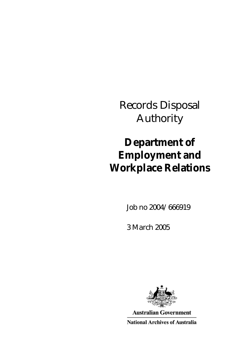Records Disposal Authority

# **Department of Employment and Workplace Relations**

Job no 2004/666919

3 March 2005



**Australian Government National Archives of Australia**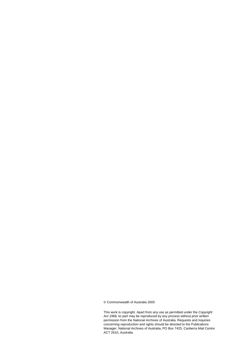© Commonwealth of Australia 2005

This work is copyright. Apart from any use as permitted under the *Copyright Act 1968,* no part may be reproduced by any process without prior written permission from the National Archives of Australia. Requests and inquiries concerning reproduction and rights should be directed to the Publications Manager, National Archives of Australia, PO Box 7425, Canberra Mail Centre ACT 2610, Australia.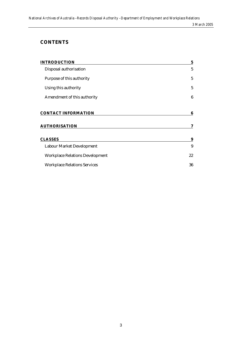## **CONTENTS**

| <b>INTRODUCTION</b>                    | $\mathbf{5}$   |
|----------------------------------------|----------------|
| Disposal authorisation                 | $\overline{5}$ |
| Purpose of this authority              | 5              |
| Using this authority                   | 5              |
| Amendment of this authority            | 6              |
| <b>CONTACT INFORMATION</b>             | 6              |
| <b>AUTHORISATION</b>                   | 7              |
| <b>CLASSES</b>                         | 9              |
| Labour Market Development              | 9              |
| <b>Workplace Relations Development</b> | 22             |
| <b>Workplace Relations Services</b>    | 36             |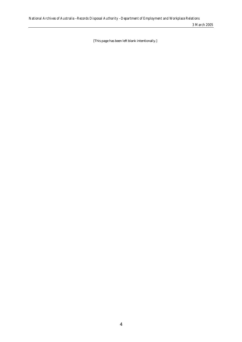[This page has been left blank intentionally.]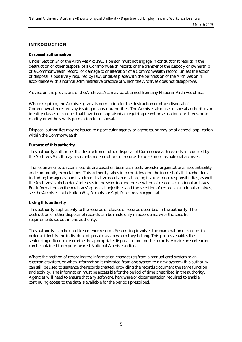### **INTRODUCTION**

### **Disposal authorisation**

Under Section 24 of the Archives Act 1983 a person must not engage in conduct that results in the destruction or other disposal of a Commonwealth record; or the transfer of the custody or ownership of a Commonwealth record; or damage to or alteration of a Commonwealth record; unless the action of disposal is positively required by law, or takes place with the permission of the Archives or in accordance with a normal administrative practice of which the Archives does not disapprove.

Advice on the provisions of the Archives Act may be obtained from any National Archives office.

Where required, the Archives gives its permission for the destruction or other disposal of Commonwealth records by issuing disposal authorities. The Archives also uses disposal authorities to identify classes of records that have been appraised as requiring retention as national archives, or to modify or withdraw its permission for disposal.

Disposal authorities may be issued to a particular agency or agencies, or may be of general application within the Commonwealth.

### **Purpose of this authority**

This authority authorises the destruction or other disposal of Commonwealth records as required by the Archives Act. It may also contain descriptions of records to be retained as national archives.

The requirements to retain records are based on business needs, broader organisational accountability and community expectations. This authority takes into consideration the interest of all stakeholders including the agency and its administrative needs in discharging its functional responsibilities, as well the Archives' stakeholders' interests in the selection and preservation of records as national archives. For information on the Archives' appraisal objectives and the selection of records as national archives, see the Archives' publication *Why Records are Kept, Directions in Appraisal*.

### **Using this authority**

This authority applies only to the records or classes of records described in the authority. The destruction or other disposal of records can be made only in accordance with the specific requirements set out in this authority.

This authority is to be used to sentence records. Sentencing involves the examination of records in order to identify the individual disposal class to which they belong. This process enables the sentencing officer to determine the appropriate disposal action for the records. Advice on sentencing can be obtained from your nearest National Archives office.

Where the method of recording the information changes (eg from a manual card system to an electronic system, or when information is migrated from one system to a new system) this authority can still be used to sentence the records created, providing the records document the same function and activity. The information must be accessible for the period of time prescribed in the authority. Agencies will need to ensure that any software, hardware or documentation required to enable continuing access to the data is available for the periods prescribed.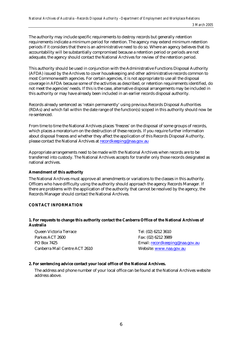The authority may include specific requirements to destroy records but generally retention requirements indicate a minimum period for retention. The agency may extend minimum retention periods if it considers that there is an administrative need to do so. Where an agency believes that its accountability will be substantially compromised because a retention period or periods are not adequate, the agency should contact the National Archives for review of the retention period.

This authority should be used in conjunction with the Administrative Functions Disposal Authority (AFDA) issued by the Archives to cover housekeeping and other administrative records common to most Commonwealth agencies. For certain agencies, it is not appropriate to use all the disposal coverage in AFDA because some of the activities as described, or retention requirements identified, do not meet the agencies' needs. If this is the case, alternative disposal arrangements may be included in this authority or may have already been included in an earlier records disposal authority.

Records already sentenced as 'retain permanently' using previous Records Disposal Authorities (RDAs) and which fall within the date range of the function(s) scoped in this authority should now be re-sentenced.

From time to time the National Archives places 'freezes' on the disposal of some groups of records, which places a moratorium on the destruction of these records. If you require further information about disposal freezes and whether they affect the application of this Records Disposal Authority, please contact the National Archives at recordkeeping@naa.gov.au

Appropriate arrangements need to be made with the National Archives when records are to be transferred into custody. The National Archives accepts for transfer only those records designated as national archives.

### **Amendment of this authority**

The National Archives must approve all amendments or variations to the classes in this authority. Officers who have difficulty using the authority should approach the agency Records Manager. If there are problems with the application of the authority that cannot be resolved by the agency, the Records Manager should contact the National Archives.

### **CONTACT INFORMATION**

### **1. For requests to change this authority contact the Canberra Office of the National Archives of Australia**

Queen Victoria Terrace Tel: (02) 6212 3610 Parkes ACT 2600 Fax: (02) 6212 3989 Canberra Mail Centre ACT 2610 Website: www.naa.gov.au

PO Box 7425 Email: recordkeeping@naa.gov.au

### **2. For sentencing advice contact your local office of the National Archives.**

The address and phone number of your local office can be found at the National Archives website address above.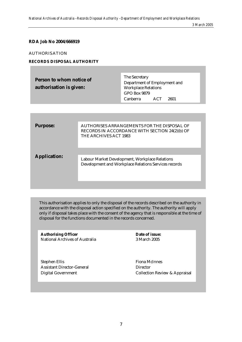### **RDA Job No 2004/666919**

### AUTHORISATION

### **RECORDS DISPOSAL AUTHORITY**

| Person to whom notice of<br>authorisation is given: | The Secretary<br>Department of Employment and<br><b>Workplace Relations</b><br>GPO Box 9879 |  |  |
|-----------------------------------------------------|---------------------------------------------------------------------------------------------|--|--|
|                                                     | <b>ACT</b><br>Canberra<br>2601                                                              |  |  |

| <b>Purpose:</b>     | AUTHORISES ARRANGEMENTS FOR THE DISPOSAL OF<br>RECORDS IN ACCORDANCE WITH SECTION 24(2)(b) OF<br>THE ARCHIVES ACT 1983 |
|---------------------|------------------------------------------------------------------------------------------------------------------------|
| <b>Application:</b> | Labour Market Development, Workplace Relations<br>Development and Workplace Relations Services records                 |

This authorisation applies to only the disposal of the records described on the authority in accordance with the disposal action specified on the authority. The authority will apply only if disposal takes place with the consent of the agency that is responsible at the time of disposal for the functions documented in the records concerned.

Authorising Officer **Date of issue:** National Archives of Australia 3 March 2005

Stephen Ellis Fiona McInnes Assistant Director-General Director

Digital Government Collection Review & Appraisal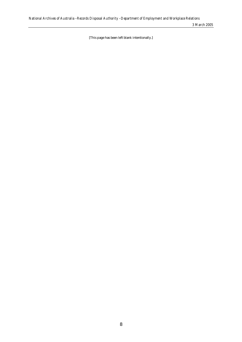[This page has been left blank intentionally.]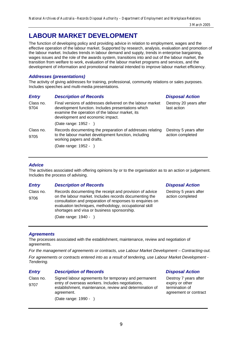The function of developing policy and providing advice in relation to employment, wages and the effective operation of the labour market. Supported by research, analysis, evaluation and promotion of the labour market. Includes trends in labour demand and supply, trends in enterprise bargaining, wages issues and the role of the awards system, transitions into and out of the labour market, the transition from welfare to work, evaluation of the labour market programs and services, and the development of information and promotional material intended to improve labour market efficiency.

### *Addresses (presentations)*

The activity of giving addresses for training, professional, community relations or sales purposes. Includes speeches and multi-media presentations.

| <b>Entry</b>      | <b>Description of Records</b>                                                                                                                                                                           | <b>Disposal Action</b>                    |
|-------------------|---------------------------------------------------------------------------------------------------------------------------------------------------------------------------------------------------------|-------------------------------------------|
| Class no.<br>9704 | Final versions of addresses delivered on the labour market<br>development function. Includes presentations which<br>examine the operation of the labour market, its<br>development and economic impact. | Destroy 20 years after<br>last action     |
|                   | (Date range: 1952 - )                                                                                                                                                                                   |                                           |
| Class no.<br>9705 | Records documenting the preparation of addresses relating<br>to the labour market development function, including<br>working papers and drafts.                                                         | Destroy 5 years after<br>action completed |
|                   | (Date range: 1952 - )                                                                                                                                                                                   |                                           |

### *Advice*

The activities associated with offering opinions by or to the organisation as to an action or judgement. Includes the process of advising.

### *Entry Description of Records Disposal Action*

Class no. 9706

Records documenting the receipt and provision of advice on the labour market. Includes records documenting the consultation and preparation of responses to enquiries on evaluation techniques, methodology, occupational skill shortages and visa or business sponsorship.

Destroy 5 years after action completed

(Date range: 1940 - )

### *Agreements*

The processes associated with the establishment, maintenance, review and negotiation of agreements.

*For the management of agreements or contracts, use Labour Market Development – Contracting-out.* 

*For agreements or contracts entered into as a result of tendering, use Labour Market Development - Tendering.* 

### *Entry Description of Records Disposal Action*

| Class no. | Signed labour agreements for temporary and permanent                                                                       |
|-----------|----------------------------------------------------------------------------------------------------------------------------|
| 9707      | entry of overseas workers. Includes negotiations,<br>establishment, maintenance, review and determination of<br>agreement. |
|           |                                                                                                                            |

(Date range: 1990 - )

Destroy 7 years after expiry or other termination of agreement or contract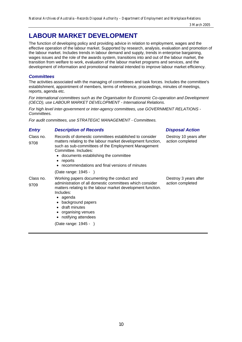The function of developing policy and providing advice in relation to employment, wages and the effective operation of the labour market. Supported by research, analysis, evaluation and promotion of the labour market. Includes trends in labour demand and supply, trends in enterprise bargaining, wages issues and the role of the awards system, transitions into and out of the labour market, the transition from welfare to work, evaluation of the labour market programs and services, and the development of information and promotional material intended to improve labour market efficiency.

### *Committees*

The activities associated with the managing of committees and task forces. Includes the committee's establishment, appointment of members, terms of reference, proceedings, minutes of meetings, reports, agenda etc.

*For international committees such as the Organisation for Economic Co-operation and Development (OECD), use LABOUR MARKET DEVELOPMENT - International Relations.* 

*For high level inter-government or inter-agency committees, use GOVERNMENT RELATIONS - Committees.* 

*For audit committees, use STRATEGIC MANAGEMENT - Committees.* 

### *Entry Description of Records Disposal Action*

| Class no.<br>9708 | Records of domestic committees established to consider<br>matters relating to the labour market development function,<br>such as sub-committees of the Employment Management<br>Committee. Includes:<br>• documents establishing the committee<br>reports<br>$\bullet$<br>recommendations and final versions of minutes<br>(Date range: 1945 - ) | Destroy 10 years after<br>action completed |
|-------------------|--------------------------------------------------------------------------------------------------------------------------------------------------------------------------------------------------------------------------------------------------------------------------------------------------------------------------------------------------|--------------------------------------------|
| Class no.         | Working papers documenting the conduct and                                                                                                                                                                                                                                                                                                       | Destroy 3 years after                      |
| 9709              | administration of all domestic committees which consider<br>matters relating to the labour market development function.<br>Includes:<br>$\bullet$ agenda<br>background papers<br>• draft minutes<br>organising venues<br>notifying attendees<br>$\bullet$                                                                                        | action completed                           |
|                   | (Date range: 1945 - )                                                                                                                                                                                                                                                                                                                            |                                            |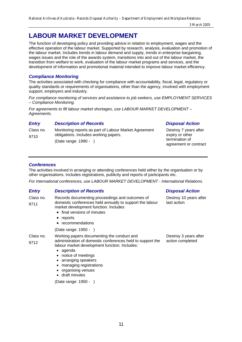The function of developing policy and providing advice in relation to employment, wages and the effective operation of the labour market. Supported by research, analysis, evaluation and promotion of the labour market. Includes trends in labour demand and supply, trends in enterprise bargaining, wages issues and the role of the awards system, transitions into and out of the labour market, the transition from welfare to work, evaluation of the labour market programs and services, and the development of information and promotional material intended to improve labour market efficiency.

### *Compliance Monitoring*

The activities associated with checking for compliance with accountability, fiscal, legal, regulatory or quality standards or requirements of organisations, other than the agency, involved with employment support, employers and industry.

*For compliance monitoring of services and assistance to job seekers, use EMPLOYMENT SERVICES – Compliance Monitoring.* 

*For agreements to fill labour market shortages, use LABOUR MARKET DEVELOPMENT – Agreements.* 

### *Entry Description of Records Disposal Action*

Class no. 9710 Monitoring reports as part of Labour Market Agreement obligations. Includes working papers. (Date range: 1990 - )

Destroy 7 years after expiry or other termination of agreement or contract

### *Conferences*

The activities involved in arranging or attending conferences held either by the organisation or by other organisations. Includes registrations, publicity and reports of participants etc.

*For international conferences, use LABOUR MARKET DEVELOPMENT - International Relations.* 

### *Entry Description of Records Disposal Action*

| Class no.<br>9711 | Records documenting proceedings and outcomes of<br>domestic conferences held annually to support the labour | Destroy 10 years after<br>last action |
|-------------------|-------------------------------------------------------------------------------------------------------------|---------------------------------------|
|                   | market development function. Includes<br>• final versions of minutes                                        |                                       |
|                   | reports<br>$\bullet$                                                                                        |                                       |
|                   | • recommendations                                                                                           |                                       |
|                   | (Date range: 1950 - )                                                                                       |                                       |
| Class no.         | Working papers documenting the conduct and                                                                  | Destroy 3 years after                 |
| 9712              | administration of domestic conferences held to support the<br>labour market development function. Includes: | action completed                      |
|                   | $\bullet$ agenda                                                                                            |                                       |
|                   | • notice of meetings                                                                                        |                                       |
|                   | arranging speakers                                                                                          |                                       |

- managing registrations
- organising venues
- draft minutes

(Date range: 1950 - )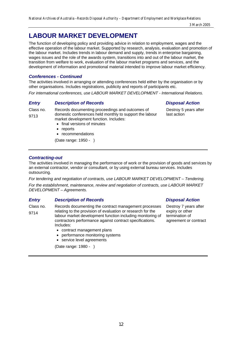The function of developing policy and providing advice in relation to employment, wages and the effective operation of the labour market. Supported by research, analysis, evaluation and promotion of the labour market. Includes trends in labour demand and supply, trends in enterprise bargaining, wages issues and the role of the awards system, transitions into and out of the labour market, the transition from welfare to work, evaluation of the labour market programs and services, and the development of information and promotional material intended to improve labour market efficiency.

### *Conferences - Continued*

The activities involved in arranging or attending conferences held either by the organisation or by other organisations. Includes registrations, publicity and reports of participants etc.

*For international conferences, use LABOUR MARKET DEVELOPMENT - International Relations.* 

### *Entry Description of Records Disposal Action*

Class no. 9713

Records documenting proceedings and outcomes of domestic conferences held monthly to support the labour market development function. Includes:

Destroy 5 years after last action

- final versions of minutes
- **reports**
- recommendations
- (Date range: 1950 )

### *Contracting-out*

The activities involved in managing the performance of work or the provision of goods and services by an external contractor, vendor or consultant, or by using external bureau services. Includes outsourcing.

*For tendering and negotiation of contracts, use LABOUR MARKET DEVELOPMENT – Tendering. For the establishment, maintenance, review and negotiation of contracts, use LABOUR MARKET DEVELOPMENT – Agreements.* 

### *Entry Description of Records Disposal Action*

Class no.

9714

Records documenting the contract management processes relating to the provision of evaluation or research for the labour market development function including monitoring of contractors performance against contract specifications. Includes:

- contract management plans
- performance monitoring systems
- service level agreements

(Date range: 1980 - )

Destroy 7 years after expiry or other termination of agreement or contract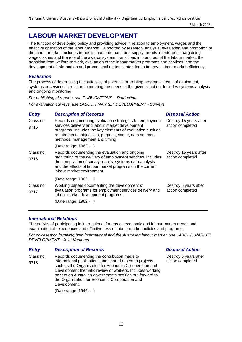The function of developing policy and providing advice in relation to employment, wages and the effective operation of the labour market. Supported by research, analysis, evaluation and promotion of the labour market. Includes trends in labour demand and supply, trends in enterprise bargaining, wages issues and the role of the awards system, transitions into and out of the labour market, the transition from welfare to work, evaluation of the labour market programs and services, and the development of information and promotional material intended to improve labour market efficiency.

### *Evaluation*

The process of determining the suitability of potential or existing programs, items of equipment, systems or services in relation to meeting the needs of the given situation. Includes systems analysis and ongoing monitoring.

*For publishing of reports, use PUBLICATIONS – Production. For evaluation surveys, use LABOUR MARKET DEVELOPMENT - Surveys.* 

### *Entry Description of Records Disposal Action*

| Class no.<br>9715 | Records documenting evaluation strategies for employment<br>services delivery and labour market development<br>programs. Includes the key elements of evaluation such as<br>requirements, objectives, purpose, scope, data sources,<br>methods, management and timing. | Destroy 15 years after<br>action completed |
|-------------------|------------------------------------------------------------------------------------------------------------------------------------------------------------------------------------------------------------------------------------------------------------------------|--------------------------------------------|
|                   | (Date range: 1962 - )                                                                                                                                                                                                                                                  |                                            |
| Class no.<br>9716 | Records documenting the evaluation and ongoing<br>monitoring of the delivery of employment services. Includes<br>the compilation of survey results, systems data analysis<br>and the effects of labour market programs on the current<br>labour market environment.    | Destroy 15 years after<br>action completed |
|                   | (Date range: 1962 - )                                                                                                                                                                                                                                                  |                                            |
| Class no.<br>9717 | Working papers documenting the development of<br>evaluation programs for employment services delivery and<br>labour market development programs.                                                                                                                       | Destroy 5 years after<br>action completed  |
|                   | (Date range: 1962 - )                                                                                                                                                                                                                                                  |                                            |

### *International Relations*

The activity of participating in international forums on economic and labour market trends and examination of experiences and effectiveness of labour market policies and programs.

*For co-research involving both international and the Australian labour market, use LABOUR MARKET DEVELOPMENT - Joint Ventures.* 

### *Entry Description of Records Disposal Action*

Class no. 9718 Records documenting the contribution made to international publications and shared research projects, such as the Organisation for Economic Co-operation and Development thematic review of workers. Includes working papers on Australian governments position put forward to the Organisation for Economic Co-operation and Development.

(Date range: 1946 - )

Destroy 5 years after action completed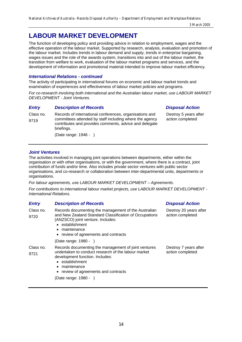The function of developing policy and providing advice in relation to employment, wages and the effective operation of the labour market. Supported by research, analysis, evaluation and promotion of the labour market. Includes trends in labour demand and supply, trends in enterprise bargaining, wages issues and the role of the awards system, transitions into and out of the labour market, the transition from welfare to work, evaluation of the labour market programs and services, and the development of information and promotional material intended to improve labour market efficiency.

### *International Relations - continued*

The activity of participating in international forums on economic and labour market trends and examination of experiences and effectiveness of labour market policies and programs.

*For co-research involving both international and the Australian labour market, use LABOUR MARKET DEVELOPMENT - Joint Ventures.* 

### *Entry Description of Records Disposal Action*

Class no. 9719 Records of international conferences, organisations and committees attended by staff including where the agency contributes and provides comments, advice and delegate briefings. (Date range: 1946 - )

Destroy 5 years after action completed

### *Joint Ventures*

The activities involved in managing joint operations between departments, either within the organisation or with other organisations, or with the government, where there is a contract, joint contribution of funds and/or time. Also includes private sector ventures with public sector organisations, and co-research or collaboration between inter-departmental units, departments or organisations.

*For labour agreements, use LABOUR MARKET DEVELOPMENT – Agreements.* 

*For contributions to international labour market projects, use LABOUR MARKET DEVELOPMENT - International Relations.* 

| <b>Entry</b>      | <b>Description of Records</b>                                                                                                                                                                                              | <b>Disposal Action</b>                    |
|-------------------|----------------------------------------------------------------------------------------------------------------------------------------------------------------------------------------------------------------------------|-------------------------------------------|
| Class no.         | Records documenting the management of the Australian                                                                                                                                                                       | Destroy 20 years after                    |
| 9720              | and New Zealand Standard Classification of Occupations<br>(ANZSCO) joint venture. Includes:<br>• establishment<br>$\bullet$ maintenance<br>• review of agreements and contracts                                            | action completed                          |
|                   | (Date range: 1980 - )                                                                                                                                                                                                      |                                           |
| Class no.<br>9721 | Records documenting the management of joint ventures<br>undertaken to conduct research of the labour market<br>development function. Includes:<br>• establishment<br>• maintenance<br>• review of agreements and contracts | Destroy 7 years after<br>action completed |
|                   | (Date range: 1980 - )                                                                                                                                                                                                      |                                           |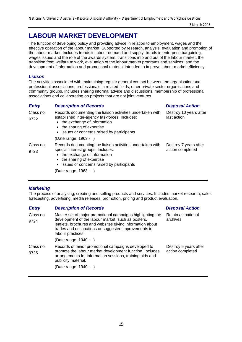*National Archives of Australia –Records Disposal Authority – Department of Employment and Workplace Relations* 

 *3 March 2005* 

## **LABOUR MARKET DEVELOPMENT**

The function of developing policy and providing advice in relation to employment, wages and the effective operation of the labour market. Supported by research, analysis, evaluation and promotion of the labour market. Includes trends in labour demand and supply, trends in enterprise bargaining, wages issues and the role of the awards system, transitions into and out of the labour market, the transition from welfare to work, evaluation of the labour market programs and services, and the development of information and promotional material intended to improve labour market efficiency.

### *Liaison*

The activities associated with maintaining regular general contact between the organisation and professional associations, professionals in related fields, other private sector organisations and community groups. Includes sharing informal advice and discussions, membership of professional associations and collaborating on projects that are not joint ventures.

### *Entry Description of Records Disposal Action*

| ----              | Pooth, Public of Those I ad                                                                                                                                                                                                | <u>,,,,,,,,,,,,,,,,,,,</u>                |
|-------------------|----------------------------------------------------------------------------------------------------------------------------------------------------------------------------------------------------------------------------|-------------------------------------------|
| Class no.<br>9722 | Records documenting the liaison activities undertaken with<br>established inter-agency taskforces. Includes:<br>• the exchange of information<br>• the sharing of expertise<br>• issues or concerns raised by participants | Destroy 10 years after<br>last action     |
|                   | (Date range: 1963 - )                                                                                                                                                                                                      |                                           |
| Class no.<br>9723 | Records documenting the liaison activities undertaken with<br>special interest groups. Includes:<br>• the exchange of information<br>• the sharing of expertise<br>• issues or concerns raised by participants             | Destroy 7 years after<br>action completed |
|                   | (Date range: 1963 -                                                                                                                                                                                                        |                                           |

### *Marketing*

The process of analysing, creating and selling products and services. Includes market research, sales forecasting, advertising, media releases, promotion, pricing and product evaluation.

| <b>Entry</b>      | <b>Description of Records</b>                                                                                                                                                                                                                             | <b>Disposal Action</b>                    |
|-------------------|-----------------------------------------------------------------------------------------------------------------------------------------------------------------------------------------------------------------------------------------------------------|-------------------------------------------|
| Class no.<br>9724 | Master set of major promotional campaigns highlighting the<br>development of the labour market, such as posters,<br>leaflets, brochures and websites giving information about<br>trades and occupations or suggested improvements in<br>labour practices. | Retain as national<br>archives            |
|                   | (Date range: 1940 - )                                                                                                                                                                                                                                     |                                           |
| Class no.<br>9725 | Records of minor promotional campaigns developed to<br>promote the labour market development function. Includes<br>arrangements for information sessions, training aids and<br>publicity material.                                                        | Destroy 5 years after<br>action completed |
|                   | (Date range: 1940 - )                                                                                                                                                                                                                                     |                                           |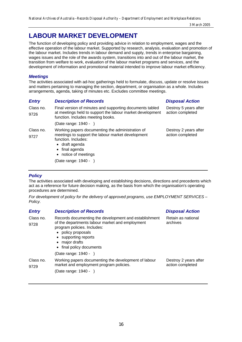*National Archives of Australia –Records Disposal Authority – Department of Employment and Workplace Relations* 

 *3 March 2005* 

## **LABOUR MARKET DEVELOPMENT**

The function of developing policy and providing advice in relation to employment, wages and the effective operation of the labour market. Supported by research, analysis, evaluation and promotion of the labour market. Includes trends in labour demand and supply, trends in enterprise bargaining, wages issues and the role of the awards system, transitions into and out of the labour market, the transition from welfare to work, evaluation of the labour market programs and services, and the development of information and promotional material intended to improve labour market efficiency.

### *Meetings*

The activities associated with ad-hoc gatherings held to formulate, discuss, update or resolve issues and matters pertaining to managing the section, department, or organisation as a whole. Includes arrangements, agenda, taking of minutes etc. Excludes committee meetings.

### *Entry Description of Records Disposal Action*

Class no. 9726 Final version of minutes and supporting documents tabled at meetings held to support the labour market development function. Includes meeting books.

(Date range: 1940 - )

Class no. 9727 Working papers documenting the administration of meetings to support the labour market development function. Includes:

- draft agenda
- final agenda
- notice of meetings

(Date range: 1940 - )

Destroy 5 years after action completed

Destroy 2 years after action completed

### *Policy*

The activities associated with developing and establishing decisions, directions and precedents which act as a reference for future decision making, as the basis from which the organisation's operating procedures are determined.

*For development of policy for the delivery of approved programs, use EMPLOYMENT SERVICES – Policy.* 

### *Entry Description of Records Disposal Action*

| Class no. | Records documenting the development and establishment                                                                                        | Retain as national    |
|-----------|----------------------------------------------------------------------------------------------------------------------------------------------|-----------------------|
| 9728      | of the departments labour market and employment<br>program policies. Includes:<br>policy proposals<br>• supporting reports<br>• major drafts | archives              |
|           | • final policy documents                                                                                                                     |                       |
|           | (Date range: 1940 - )                                                                                                                        |                       |
| Class no. | Working papers documenting the development of labour                                                                                         | Destroy 2 years after |
| 9729      | market and employment program policies.                                                                                                      | action completed      |
|           | (Date range: 1940 -                                                                                                                          |                       |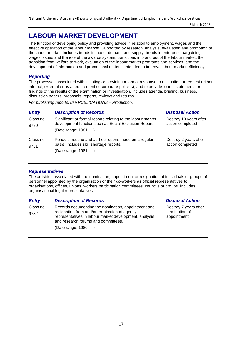*National Archives of Australia –Records Disposal Authority – Department of Employment and Workplace Relations* 

 *3 March 2005* 

## **LABOUR MARKET DEVELOPMENT**

The function of developing policy and providing advice in relation to employment, wages and the effective operation of the labour market. Supported by research, analysis, evaluation and promotion of the labour market. Includes trends in labour demand and supply, trends in enterprise bargaining, wages issues and the role of the awards system, transitions into and out of the labour market, the transition from welfare to work, evaluation of the labour market programs and services, and the development of information and promotional material intended to improve labour market efficiency.

### *Reporting*

The processes associated with initiating or providing a formal response to a situation or request (either internal, external or as a requirement of corporate policies), and to provide formal statements or findings of the results of the examination or investigation. Includes agenda, briefing, business, discussion papers, proposals, reports, reviews and returns.

*For publishing reports, use PUBLICATIONS – Production.* 

### *Entry Description of Records Disposal Action*

| Class no.<br>9730 | Significant or formal reports relating to the labour market<br>development function such as Social Exclusion Report.<br>(Date range: 1981 - ) | Destroy 10 years after<br>action completed |
|-------------------|-----------------------------------------------------------------------------------------------------------------------------------------------|--------------------------------------------|
| Class no.<br>9731 | Periodic, routine and ad-hoc reports made on a regular<br>basis. Includes skill shortage reports.<br>(Date range: 1981 - )                    | Destroy 2 years after<br>action completed  |

### *Representatives*

The activities associated with the nomination, appointment or resignation of individuals or groups of personnel appointed by the organisation or their co-workers as official representatives to organisations, offices, unions, workers participation committees, councils or groups. Includes organisational legal representatives.

### *Entry Description of Records Disposal Action*

Class no. 9732 Records documenting the nomination, appointment and resignation from and/or termination of agency representatives in labour market development, analysis and research forums and committees.

(Date range: 1980 - )

Destroy 7 years after termination of appointment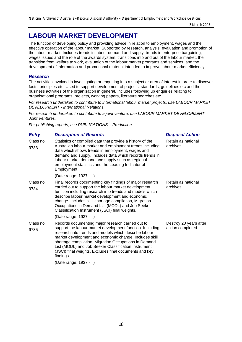The function of developing policy and providing advice in relation to employment, wages and the effective operation of the labour market. Supported by research, analysis, evaluation and promotion of the labour market. Includes trends in labour demand and supply, trends in enterprise bargaining, wages issues and the role of the awards system, transitions into and out of the labour market, the transition from welfare to work, evaluation of the labour market programs and services, and the development of information and promotional material intended to improve labour market efficiency.

### *Research*

The activities involved in investigating or enquiring into a subject or area of interest in order to discover facts, principles etc. Used to support development of projects, standards, guidelines etc and the business activities of the organisation in general. Includes following up enquiries relating to organisational programs, projects, working papers, literature searches etc.

*For research undertaken to contribute to international labour market projects, use LABOUR MARKET DEVELOPMENT - International Relations.* 

*For research undertaken to contribute to a joint venture, use LABOUR MARKET DEVELOPMENT – Joint Ventures.* 

*For publishing reports, use PUBLICATIONS – Production.* 

### *Entry Description of Records Disposal Action*

| Class no.<br>9733 | Statistics or compiled data that provide a history of the<br>Australian labour market and employment trends including<br>data which shows trends in employment, wages and<br>demand and supply. Includes data which records trends in<br>labour market demand and supply such as regional<br>employment statistics and the Leading Indicator of<br>Employment.                                                            | Retain as national<br>archives             |
|-------------------|---------------------------------------------------------------------------------------------------------------------------------------------------------------------------------------------------------------------------------------------------------------------------------------------------------------------------------------------------------------------------------------------------------------------------|--------------------------------------------|
|                   | (Date range: 1937 - )                                                                                                                                                                                                                                                                                                                                                                                                     |                                            |
| Class no.<br>9734 | Final records documenting key findings of major research<br>carried out to support the labour market development<br>function including research into trends and models which<br>describe labour market development and economic<br>change. Includes skill shortage compilation, Migration<br>Occupations in Demand List (MODL) and Job Seeker<br>Classification Instrument (JSCI) final weights.                          | Retain as national<br>archives             |
|                   | (Date range: 1937 - )                                                                                                                                                                                                                                                                                                                                                                                                     |                                            |
| Class no.<br>9735 | Records documenting major research carried out to<br>support the labour market development function. Including<br>research into trends and models which describe labour<br>market development and economic change. Includes skill<br>shortage compilation, Migration Occupations in Demand<br>List (MODL) and Job Seeker Classification Instrument<br>(JSCI) final weights. Excludes final documents and key<br>findings. | Destroy 20 years after<br>action completed |
|                   | (Date range: 1937 - )                                                                                                                                                                                                                                                                                                                                                                                                     |                                            |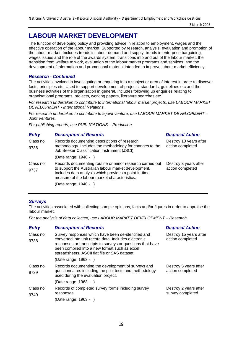The function of developing policy and providing advice in relation to employment, wages and the effective operation of the labour market. Supported by research, analysis, evaluation and promotion of the labour market. Includes trends in labour demand and supply, trends in enterprise bargaining, wages issues and the role of the awards system, transitions into and out of the labour market, the transition from welfare to work, evaluation of the labour market programs and services, and the development of information and promotional material intended to improve labour market efficiency.

### *Research - Continued*

The activities involved in investigating or enquiring into a subject or area of interest in order to discover facts, principles etc. Used to support development of projects, standards, guidelines etc and the business activities of the organisation in general. Includes following up enquiries relating to organisational programs, projects, working papers, literature searches etc.

*For research undertaken to contribute to international labour market projects, use LABOUR MARKET DEVELOPMENT - International Relations.* 

*For research undertaken to contribute to a joint venture, use LABOUR MARKET DEVELOPMENT – Joint Ventures.* 

*For publishing reports, use PUBLICATIONS – Production.* 

### *Entry Description of Records Disposal Action*

| Class no.<br>9736 | Records documenting descriptions of research<br>methodology. Includes the methodology for changes to the<br>Job Seeker Classification Instrument (JSCI).                                                                    | Destroy 10 years after<br>action completed |
|-------------------|-----------------------------------------------------------------------------------------------------------------------------------------------------------------------------------------------------------------------------|--------------------------------------------|
|                   | (Date range: 1940 -                                                                                                                                                                                                         |                                            |
| Class no.<br>9737 | Records documenting routine or minor research carried out<br>to support the Australian labour market development.<br>Includes data analysis which provides a point-in-time<br>measure of the labour market characteristics. | Destroy 3 years after<br>action completed  |
|                   | (Date range: 1940 -                                                                                                                                                                                                         |                                            |

### *Surveys*

The activities associated with collecting sample opinions, facts and/or figures in order to appraise the labour market.

*For the analysis of data collected, use LABOUR MARKET DEVELOPMENT – Research.* 

| <b>Description of Records</b>                                                                                                                                                                                                                                              | <b>Disposal Action</b>                     |
|----------------------------------------------------------------------------------------------------------------------------------------------------------------------------------------------------------------------------------------------------------------------------|--------------------------------------------|
| Survey responses which have been de-identified and<br>converted into unit record data. Includes electronic<br>responses or transcripts to surveys or questions that have<br>been compiled into a new format such as excel<br>spreadsheets, ASCII flat file or SAS dataset. | Destroy 15 years after<br>action completed |
| (Date range: $1963 - 1$ )                                                                                                                                                                                                                                                  |                                            |
| Records documenting the development of surveys and<br>questionnaires including the pilot tests and methodology<br>used during the evaluation project.                                                                                                                      | Destroy 5 years after<br>action completed  |
| (Date range: 1963 - )                                                                                                                                                                                                                                                      |                                            |
| Records of completed survey forms including survey<br>responses.<br>(Date range: 1963 - )                                                                                                                                                                                  | Destroy 2 years after<br>survey completed  |
|                                                                                                                                                                                                                                                                            |                                            |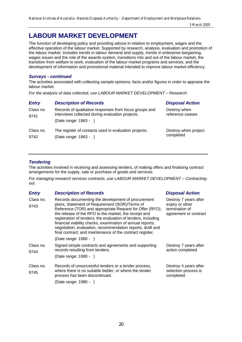The function of developing policy and providing advice in relation to employment, wages and the effective operation of the labour market. Supported by research, analysis, evaluation and promotion of the labour market. Includes trends in labour demand and supply, trends in enterprise bargaining, wages issues and the role of the awards system, transitions into and out of the labour market, the transition from welfare to work, evaluation of the labour market programs and services, and the development of information and promotional material intended to improve labour market efficiency.

### *Surveys - continued*

The activities associated with collecting sample opinions, facts and/or figures in order to appraise the labour market.

*For the analysis of data collected, use LABOUR MARKET DEVELOPMENT – Research.* 

| <b>Entry</b>      | <b>Description of Records</b>                                                                                                       | <b>Disposal Action</b>            |
|-------------------|-------------------------------------------------------------------------------------------------------------------------------------|-----------------------------------|
| Class no.<br>9741 | Records of qualitative responses from focus groups and<br>interviews collected during evaluation projects.<br>(Date range: 1963 - ) | Destroy when<br>reference ceases  |
| Class no.<br>9742 | The register of contacts used in evaluation projects.<br>(Date range: 1963 - )                                                      | Destroy when project<br>completed |

### *Tendering*

The activities involved in receiving and assessing tenders, of making offers and finalising contract arrangements for the supply, sale or purchase of goods and services.

*For managing research services contracts, use LABOUR MARKET DEVELOPMENT – Contractingout.* 

### *Entry Description of Records Disposal Action* Class no. 9743 Records documenting the development of procurement plans, State Reference ( the release registration financial via negotiation, final contract (Date range Destroy 7 years after Class no. 9744 Signed simple records resu (Date range

Class no. 9745 Records of where there process has (Date range: 1980 - )

| ment of Requirement (SOR)/Terms of<br>expiry or other<br>TOR) and appropriate Request for Offer (RFO);<br>termination of<br>of the RFO to the market; the receipt and<br>agreement or contract<br>of tenders; the evaluation of tenders, including<br>bility checks, examination of annual reports;<br>evaluation, recommendation reports, draft and<br>ct; and maintenance of the contract register. |                                                            |
|-------------------------------------------------------------------------------------------------------------------------------------------------------------------------------------------------------------------------------------------------------------------------------------------------------------------------------------------------------------------------------------------------------|------------------------------------------------------------|
| :1980 - )                                                                                                                                                                                                                                                                                                                                                                                             |                                                            |
| ble contracts and agreements and supporting<br>ulting from tenders.                                                                                                                                                                                                                                                                                                                                   | Destroy 7 years after<br>action completed                  |
| :1980 - )                                                                                                                                                                                                                                                                                                                                                                                             |                                                            |
| unsuccessful tenders or a tender process,<br>is no suitable bidder, or where the tender<br>s been discontinued.                                                                                                                                                                                                                                                                                       | Destroy 4 years after<br>selection process is<br>completed |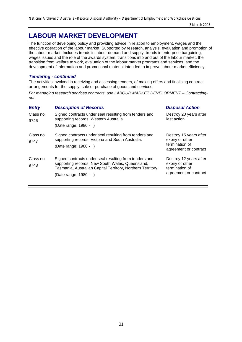The function of developing policy and providing advice in relation to employment, wages and the effective operation of the labour market. Supported by research, analysis, evaluation and promotion of the labour market. Includes trends in labour demand and supply, trends in enterprise bargaining, wages issues and the role of the awards system, transitions into and out of the labour market, the transition from welfare to work, evaluation of the labour market programs and services, and the development of information and promotional material intended to improve labour market efficiency.

### *Tendering - continued*

The activities involved in receiving and assessing tenders, of making offers and finalising contract arrangements for the supply, sale or purchase of goods and services.

*For managing research services contracts, use LABOUR MARKET DEVELOPMENT – Contractingout.* 

| <b>Entry</b>      | <b>Description of Records</b>                                                                                                                                                                      | <b>Disposal Action</b>                                                               |
|-------------------|----------------------------------------------------------------------------------------------------------------------------------------------------------------------------------------------------|--------------------------------------------------------------------------------------|
| Class no.<br>9746 | Signed contracts under seal resulting from tenders and<br>supporting records: Western Australia.<br>(Date range: 1980 - )                                                                          | Destroy 20 years after<br>last action                                                |
| Class no.<br>9747 | Signed contracts under seal resulting from tenders and<br>supporting records: Victoria and South Australia.<br>(Date range: 1980 - )                                                               | Destroy 15 years after<br>expiry or other<br>termination of<br>agreement or contract |
| Class no.<br>9748 | Signed contracts under seal resulting from tenders and<br>supporting records: New South Wales, Queensland,<br>Tasmania, Australian Capital Territory, Northern Territory.<br>(Date range: 1980 - ) | Destroy 12 years after<br>expiry or other<br>termination of<br>agreement or contract |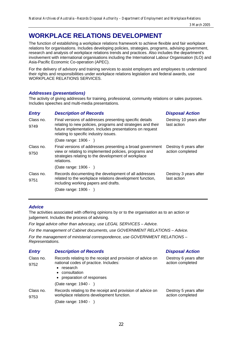The function of establishing a workplace relations framework to achieve flexible and fair workplace relations for organisations. Includes developing policies, strategies, programs, advising government, research and analysis of workplace relations trends and practices. Also includes the department's involvement with international organisations including the International Labour Organisation (ILO) and Asia-Pacific Economic Co-operation (APEC).

For the delivery of advisory and training services to assist employers and employees to understand their rights and responsibilities under workplace relations legislation and federal awards, use WORKPLACE RELATIONS SERVICES.

### *Addresses (presentations)*

The activity of giving addresses for training, professional, community relations or sales purposes. Includes speeches and multi-media presentations.

| <b>Description of Records</b>                                                                                                                                                            | <b>Disposal Action</b>                                      |
|------------------------------------------------------------------------------------------------------------------------------------------------------------------------------------------|-------------------------------------------------------------|
| Final versions of addresses presenting specific details                                                                                                                                  | Destroy 10 years after                                      |
| future implementation. Includes presentations on request<br>relating to specific industry issues.                                                                                        | last action                                                 |
| (Date range: 1906 - )                                                                                                                                                                    |                                                             |
| Final versions of addresses presenting a broad government<br>view or relating to implemented policies, programs and<br>strategies relating to the development of workplace<br>relations. | Destroy 6 years after<br>action completed                   |
| (Date range: 1906 - )                                                                                                                                                                    |                                                             |
| Records documenting the development of all addresses<br>related to the workplace relations development function,<br>including working papers and drafts.<br>(Date range: 1906 - )        | Destroy 3 years after<br>last action                        |
|                                                                                                                                                                                          | relating to new policies, programs and strategies and their |

### *Advice*

The activities associated with offering opinions by or to the organisation as to an action or judgement. Includes the process of advising.

*For legal advice other than advocacy, use LEGAL SERVICES – Advice.* 

*For the management of Cabinet documents, use GOVERNMENT RELATIONS – Advice.* 

*For the management of ministerial correspondence, use GOVERNMENT RELATIONS – Representations.* 

*Entry Description of Records Disposal Action*

| <b>CIIUV</b>      | <b>Description of Records</b>                                                                                                                                             | <b>DISPOSAI ACTION</b>                    |
|-------------------|---------------------------------------------------------------------------------------------------------------------------------------------------------------------------|-------------------------------------------|
| Class no.<br>9752 | Records relating to the receipt and provision of advice on<br>national codes of practice. Includes:<br>$\bullet$ research<br>• consultation<br>• preparation of responses | Destroy 6 years after<br>action completed |
|                   | (Date range: 1940 - )                                                                                                                                                     |                                           |
| Class no.<br>9753 | Records relating to the receipt and provision of advice on<br>workplace relations development function.                                                                   | Destroy 5 years after<br>action completed |
|                   | (Date range: 1940 -                                                                                                                                                       |                                           |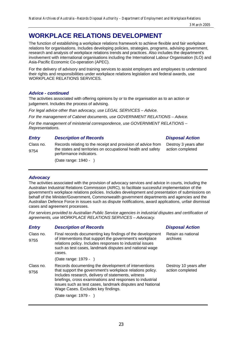The function of establishing a workplace relations framework to achieve flexible and fair workplace relations for organisations. Includes developing policies, strategies, programs, advising government, research and analysis of workplace relations trends and practices. Also includes the department's involvement with international organisations including the International Labour Organisation (ILO) and Asia-Pacific Economic Co-operation (APEC).

For the delivery of advisory and training services to assist employers and employees to understand their rights and responsibilities under workplace relations legislation and federal awards, use WORKPLACE RELATIONS SERVICES.

### *Advice - continued*

The activities associated with offering opinions by or to the organisation as to an action or judgement. Includes the process of advising.

*For legal advice other than advocacy, use LEGAL SERVICES – Advice.* 

*For the management of Cabinet documents, use GOVERNMENT RELATIONS – Advice.* 

*For the management of ministerial correspondence, use GOVERNMENT RELATIONS – Representations.* 

### *Entry Description of Records Disposal Action*

Class no. 9754 Records relating to the receipt and provision of advice from the states and territories on occupational health and safety performance indicators.

Destroy 3 years after action completed

(Date range: 1940 - )

### *Advocacy*

The activities associated with the provision of advocacy services and advice in courts, including the Australian Industrial Relations Commission (AIRC), to facilitate successful implementation of the government's workplace relations policies. Includes development and presentation of submissions on behalf of the Minister/Government, Commonwealth government departments and agencies and the Australian Defence Force in issues such as dispute notifications, award applications, unfair dismissal cases and agreement processes.

*For services provided to Australian Public Service agencies in industrial disputes and certification of agreements, use WORKPLACE RELATIONS SERVICES – Advocacy.* 

### *Entry Description of Records Disposal Action*

Class no. 9755 Final records documenting key findings of the development of interventions that support the government's workplace relations policy. Includes responses to industrial issues such as test cases, landmark disputes and national wage cases. (Date range: 1979 - ) Retain as national archives Class no. 9756 Records documenting the development of interventions that support the government's workplace relations policy. Includes research, delivery of statements, witness briefings, cross examinations and responses to industrial issues such as test cases, landmark disputes and National Wage Cases. Excludes key findings. (Date range: 1979 - ) Destroy 10 years after action completed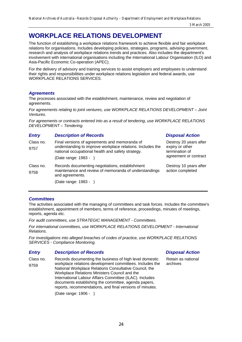The function of establishing a workplace relations framework to achieve flexible and fair workplace relations for organisations. Includes developing policies, strategies, programs, advising government, research and analysis of workplace relations trends and practices. Also includes the department's involvement with international organisations including the International Labour Organisation (ILO) and Asia-Pacific Economic Co-operation (APEC).

For the delivery of advisory and training services to assist employers and employees to understand their rights and responsibilities under workplace relations legislation and federal awards, use WORKPLACE RELATIONS SERVICES.

### *Agreements*

The processes associated with the establishment, maintenance, review and negotiation of agreements.

*For agreements relating to joint ventures, use WORKPLACE RELATIONS DEVELOPMENT – Joint Ventures.* 

*For agreements or contracts entered into as a result of tendering, use WORKPLACE RELATIONS DEVELOPMENT – Tendering.* 

| <b>Entry</b>      | <b>Description of Records</b>                                                                                                                                                             | <b>Disposal Action</b>                                                               |
|-------------------|-------------------------------------------------------------------------------------------------------------------------------------------------------------------------------------------|--------------------------------------------------------------------------------------|
| Class no.<br>9757 | Final versions of agreements and memoranda of<br>understanding to improve workplace relations. Includes the<br>national occupational health and safety strategy.<br>(Date range: 1983 - ) | Destroy 20 years after<br>expiry or other<br>termination of<br>agreement or contract |
| Class no.<br>9758 | Records documenting negotiations, establishment<br>maintenance and review of memoranda of understandings<br>and agreements.<br>(Date range: 1983 - )                                      | Destroy 10 years after<br>action completed                                           |

### *Committees*

The activities associated with the managing of committees and task forces. Includes the committee's establishment, appointment of members, terms of reference, proceedings, minutes of meetings, reports, agenda etc.

*For audit committees, use STRATEGIC MANAGEMENT - Committees.* 

*For international committees, use WORKPLACE RELATIONS DEVELOPMENT - International Relations.* 

*For investigations into alleged breaches of codes of practice, use WORKPLACE RELATIONS SERVICES - Compliance Monitoring.* 

### *Entry Description of Records Disposal Action*

Class no. 9759 Records documenting the business of high level domestic workplace relations development committees. Includes the National Workplace Relations Consultative Council, the Workplace Relations Ministers Council and the International Labour Affairs Committee (ILAC). Includes documents establishing the committee, agenda papers, reports, recommendations, and final versions of minutes.

(Date range: 1906 - )

Retain as national archives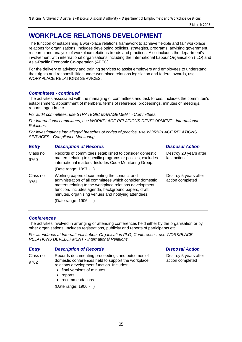The function of establishing a workplace relations framework to achieve flexible and fair workplace relations for organisations. Includes developing policies, strategies, programs, advising government, research and analysis of workplace relations trends and practices. Also includes the department's involvement with international organisations including the International Labour Organisation (ILO) and Asia-Pacific Economic Co-operation (APEC).

For the delivery of advisory and training services to assist employers and employees to understand their rights and responsibilities under workplace relations legislation and federal awards, use WORKPLACE RELATIONS SERVICES.

### *Committees - continued*

The activities associated with the managing of committees and task forces. Includes the committee's establishment, appointment of members, terms of reference, proceedings, minutes of meetings, reports, agenda etc.

*For audit committees, use STRATEGIC MANAGEMENT - Committees.* 

*For international committees, use WORKPLACE RELATIONS DEVELOPMENT - International Relations.* 

*For investigations into alleged breaches of codes of practice, use WORKPLACE RELATIONS SERVICES - Compliance Monitoring.* 

| <b>Entry</b>      | <b>Description of Records</b>                                                                                                                                                                                                                                                   | <b>Disposal Action</b>                    |
|-------------------|---------------------------------------------------------------------------------------------------------------------------------------------------------------------------------------------------------------------------------------------------------------------------------|-------------------------------------------|
| Class no.<br>9760 | Records of committees established to consider domestic<br>matters relating to specific programs or policies, excludes<br>international matters. Includes Code Monitoring Group.                                                                                                 | Destroy 20 years after<br>last action     |
|                   | (Date range: 1997 - )                                                                                                                                                                                                                                                           |                                           |
| Class no.<br>9761 | Working papers documenting the conduct and<br>administration of all committees which consider domestic<br>matters relating to the workplace relations development<br>function. Includes agenda, background papers, draft<br>minutes, organising venues and notifying attendees. | Destroy 5 years after<br>action completed |
|                   | (Date range: 1906 -                                                                                                                                                                                                                                                             |                                           |

### *Conferences*

The activities involved in arranging or attending conferences held either by the organisation or by other organisations. Includes registrations, publicity and reports of participants etc.

*For attendance at International Labour Organisation (ILO) Conferences, use WORKPLACE RELATIONS DEVELOPMENT - International Relations.* 

### *Entry Description of Records Disposal Action*

Class no. 9762

- Records documenting proceedings and outcomes of domestic conferences held to support the workplace relations development function. Includes:
	- final versions of minutes
	- **reports**
	- recommendations

(Date range: 1906 - )

Destroy 5 years after action completed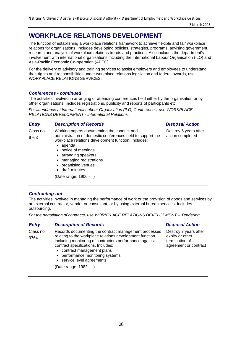The function of establishing a workplace relations framework to achieve flexible and fair workplace relations for organisations. Includes developing policies, strategies, programs, advising government, research and analysis of workplace relations trends and practices. Also includes the department's involvement with international organisations including the International Labour Organisation (ILO) and Asia-Pacific Economic Co-operation (APEC).

For the delivery of advisory and training services to assist employers and employees to understand their rights and responsibilities under workplace relations legislation and federal awards, use WORKPLACE RELATIONS SERVICES.

### *Conferences - continued*

The activities involved in arranging or attending conferences held either by the organisation or by other organisations. Includes registrations, publicity and reports of participants etc.

*For attendance at International Labour Organisation (ILO) Conferences, use WORKPLACE RELATIONS DEVELOPMENT - International Relations.* 

### *Entry Description of Records Disposal Action*

Class no. 9763

Working papers documenting the conduct and administration of domestic conferences held to support the workplace relations development function. Includes:

- agenda
- notice of meetings
- arranging speakers
- managing registrations
- organising venues
- draft minutes

(Date range: 1906 - )

Destroy 5 years after action completed

### *Contracting-out*

The activities involved in managing the performance of work or the provision of goods and services by an external contractor, vendor or consultant, or by using external bureau services. Includes outsourcing.

*For the negotiation of contracts, use WORKPLACE RELATIONS DEVELOPMENT – Tendering.* 

### *Entry Description of Records Disposal Action*

Class no. 9764

Records documenting the contract management processes relating to the workplace relations development function including monitoring of contractors performance against contract specifications. Includes:

- contract management plans
- performance monitoring systems
- service level agreements

(Date range: 1982 - )

Destroy 7 years after expiry or other termination of agreement or contract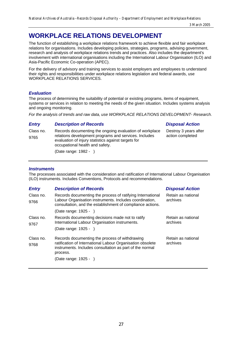The function of establishing a workplace relations framework to achieve flexible and fair workplace relations for organisations. Includes developing policies, strategies, programs, advising government, research and analysis of workplace relations trends and practices. Also includes the department's involvement with international organisations including the International Labour Organisation (ILO) and Asia-Pacific Economic Co-operation (APEC).

For the delivery of advisory and training services to assist employers and employees to understand their rights and responsibilities under workplace relations legislation and federal awards, use WORKPLACE RELATIONS SERVICES.

### *Evaluation*

The process of determining the suitability of potential or existing programs, items of equipment, systems or services in relation to meeting the needs of the given situation. Includes systems analysis and ongoing monitoring.

*For the analysis of trends and raw data, use WORKPLACE RELATIONS DEVELOPMENT- Research.* 

relations development programs and services. Includes

evaluation of injury statistics against targets for

### *Entry Description of Records Disposal Action*

Class no. Records documenting the ongoing evaluation of workplace

Destroy 3 years after action completed

(Date range: 1982 - )

occupational health and safety.

### *Instruments*

9765

The processes associated with the consideration and ratification of International Labour Organisation (ILO) instruments. Includes Conventions, Protocols and recommendations.

| <b>Entry</b>      | <b>Description of Records</b>                                                                                                                                                                                     | <b>Disposal Action</b>         |
|-------------------|-------------------------------------------------------------------------------------------------------------------------------------------------------------------------------------------------------------------|--------------------------------|
| Class no.<br>9766 | Records documenting the process of ratifying International<br>Labour Organisation instruments. Includes coordination,<br>consultation, and the establishment of compliance actions.                               | Retain as national<br>archives |
|                   | (Date range: 1925 - )                                                                                                                                                                                             |                                |
| Class no.<br>9767 | Records documenting decisions made not to ratify<br>International Labour Organisation instruments.<br>(Date range: 1925 - )                                                                                       | Retain as national<br>archives |
| Class no.<br>9768 | Records documenting the process of withdrawing<br>ratification of International Labour Organisation obsolete<br>instruments. Includes consultation as part of the normal<br>process.<br>(Date range: $1925 - 1$ ) | Retain as national<br>archives |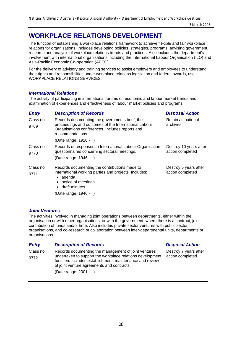The function of establishing a workplace relations framework to achieve flexible and fair workplace relations for organisations. Includes developing policies, strategies, programs, advising government, research and analysis of workplace relations trends and practices. Also includes the department's involvement with international organisations including the International Labour Organisation (ILO) and Asia-Pacific Economic Co-operation (APEC).

For the delivery of advisory and training services to assist employers and employees to understand their rights and responsibilities under workplace relations legislation and federal awards, use WORKPLACE RELATIONS SERVICES.

### *International Relations*

The activity of participating in international forums on economic and labour market trends and examination of experiences and effectiveness of labour market policies and programs.

| <b>Entry</b>      | <b>Description of Records</b>                                                                                                                                                 | <b>Disposal Action</b>                     |
|-------------------|-------------------------------------------------------------------------------------------------------------------------------------------------------------------------------|--------------------------------------------|
| Class no.<br>9769 | Records documenting the governments brief, the<br>proceedings and outcomes of the International Labour<br>Organisations conferences. Includes reports and<br>recommendations. | Retain as national<br>archives             |
|                   | (Date range: 1920 - )                                                                                                                                                         |                                            |
| Class no.<br>9770 | Records of responses to International Labour Organisation<br>questionnaires concerning sectoral meetings.                                                                     | Destroy 10 years after<br>action completed |
|                   | (Date range: 1946 - )                                                                                                                                                         |                                            |
| Class no.<br>9771 | Records documenting the contributions made to<br>international working parties and projects. Includes:<br>$\bullet$ agenda<br>• notice of meetings<br>• draft minutes         | Destroy 5 years after<br>action completed  |
|                   | (Date range: 1946 - )                                                                                                                                                         |                                            |

### *Joint Ventures*

The activities involved in managing joint operations between departments, either within the organisation or with other organisations, or with the government, where there is a contract, joint contribution of funds and/or time. Also includes private sector ventures with public sector organisations, and co-research or collaboration between inter-departmental units, departments or organisations.

### *Entry Description of Records Disposal Action*

9772

Class no. Records documenting the management of joint ventures undertaken to support the workplace relations development function. Includes establishment, maintenance and review of joint venture agreements and contracts.

Destroy 7 years after action completed

(Date range: 2001 - )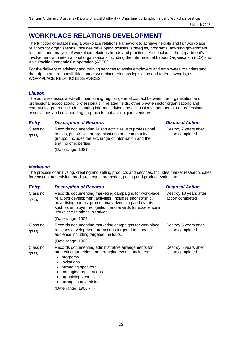The function of establishing a workplace relations framework to achieve flexible and fair workplace relations for organisations. Includes developing policies, strategies, programs, advising government, research and analysis of workplace relations trends and practices. Also includes the department's involvement with international organisations including the International Labour Organisation (ILO) and Asia-Pacific Economic Co-operation (APEC).

For the delivery of advisory and training services to assist employers and employees to understand their rights and responsibilities under workplace relations legislation and federal awards, use WORKPLACE RELATIONS SERVICES.

### *Liaison*

The activities associated with maintaining regular general contact between the organisation and professional associations, professionals in related fields, other private sector organisations and community groups. Includes sharing informal advice and discussions, membership of professional associations and collaborating on projects that are not joint ventures.

### *Entry Description of Records Disposal Action*

Class no. 9773

Records documenting liaison activities with professional bodies, private sector organisations and community groups. Includes the exchange of information and the

sharing of expertise.

(Date range: 1981 - )

Destroy 7 years after action completed

### *Marketing*

The process of analysing, creating and selling products and services. Includes market research, sales forecasting, advertising, media releases, promotion, pricing and product evaluation.

| <b>Entry</b>      | <b>Description of Records</b>                                                                                                                                                                                                                                                | <b>Disposal Action</b>                     |
|-------------------|------------------------------------------------------------------------------------------------------------------------------------------------------------------------------------------------------------------------------------------------------------------------------|--------------------------------------------|
| Class no.<br>9774 | Records documenting marketing campaigns for workplace<br>relations development activities. Includes sponsorship,<br>advertising booths, promotional advertising and events<br>such as employer recognition, and awards for excellence in<br>workplace relations initiatives. | Destroy 10 years after<br>action completed |
|                   | (Date range: 1906 - )                                                                                                                                                                                                                                                        |                                            |
| Class no.<br>9775 | Records documenting marketing campaigns for workplace<br>relations development promotions targeted to a specific<br>audience including targeted mailouts.                                                                                                                    | Destroy 5 years after<br>action completed  |
|                   | (Date range: 1906 - )                                                                                                                                                                                                                                                        |                                            |
| Class no.<br>9776 | Records documenting administrative arrangements for<br>marketing strategies and arranging events. Includes:<br>programs<br>invitations<br>$\bullet$<br>arranging speakers<br>managing registrations<br>• organising venues<br>• arranging advertising                        | Destroy 5 years after<br>action completed  |
|                   | (Date range: 1906 - )                                                                                                                                                                                                                                                        |                                            |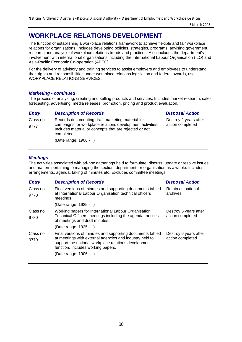The function of establishing a workplace relations framework to achieve flexible and fair workplace relations for organisations. Includes developing policies, strategies, programs, advising government, research and analysis of workplace relations trends and practices. Also includes the department's involvement with international organisations including the International Labour Organisation (ILO) and Asia-Pacific Economic Co-operation (APEC).

For the delivery of advisory and training services to assist employers and employees to understand their rights and responsibilities under workplace relations legislation and federal awards, use WORKPLACE RELATIONS SERVICES.

### *Marketing - continued*

The process of analysing, creating and selling products and services. Includes market research, sales forecasting, advertising, media releases, promotion, pricing and product evaluation.

### *Entry Description of Records Disposal Action*

Class no. 9777 Records documenting draft marketing material for campaigns for workplace relations development activities. Includes material or concepts that are rejected or not completed. (Date range: 1906 - )

Destroy 2 years after action completed

### *Meetings*

The activities associated with ad-hoc gatherings held to formulate, discuss, update or resolve issues and matters pertaining to managing the section, department, or organisation as a whole. Includes arrangements, agenda, taking of minutes etc. Excludes committee meetings.

| <b>Entry</b>      | <b>Description of Records</b>                                                                                                                                                                                      | <b>Disposal Action</b>                    |
|-------------------|--------------------------------------------------------------------------------------------------------------------------------------------------------------------------------------------------------------------|-------------------------------------------|
| Class no.<br>9778 | Final versions of minutes and supporting documents tabled<br>at International Labour Organisation technical officers<br>meetings.                                                                                  | Retain as national<br>archives            |
|                   | (Date range: $1925 - 1$ )                                                                                                                                                                                          |                                           |
| Class no.<br>9780 | Working papers for International Labour Organisation<br>Technical Officers meetings including the agenda, notices<br>of meetings and draft minutes.                                                                | Destroy 5 years after<br>action completed |
|                   | (Date range: 1925 - )                                                                                                                                                                                              |                                           |
| Class no.<br>9779 | Final versions of minutes and supporting documents tabled<br>at meetings with external agencies and industry held to<br>support the national workplace relations development<br>function. Includes working papers. | Destroy 6 years after<br>action completed |
|                   | (Date range: 1906 - )                                                                                                                                                                                              |                                           |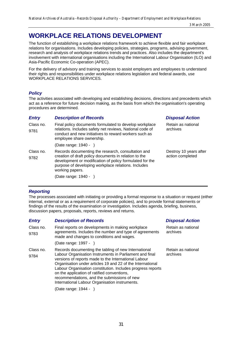The function of establishing a workplace relations framework to achieve flexible and fair workplace relations for organisations. Includes developing policies, strategies, programs, advising government, research and analysis of workplace relations trends and practices. Also includes the department's involvement with international organisations including the International Labour Organisation (ILO) and Asia-Pacific Economic Co-operation (APEC).

For the delivery of advisory and training services to assist employers and employees to understand their rights and responsibilities under workplace relations legislation and federal awards, use WORKPLACE RELATIONS SERVICES.

### *Policy*

The activities associated with developing and establishing decisions, directions and precedents which act as a reference for future decision making, as the basis from which the organisation's operating procedures are determined.

### *Entry Description of Records Disposal Action*

| Class no.<br>9781 | Final policy documents formulated to develop workplace<br>relations. Includes safety net reviews, National code of<br>conduct and new initiatives to reward workers such as<br>employee share ownership.                                          | Retain as national<br>archives             |
|-------------------|---------------------------------------------------------------------------------------------------------------------------------------------------------------------------------------------------------------------------------------------------|--------------------------------------------|
|                   | (Date range: 1940 - )                                                                                                                                                                                                                             |                                            |
| Class no.<br>9782 | Records documenting the research, consultation and<br>creation of draft policy documents in relation to the<br>development or modification of policy formulated for the<br>purpose of developing workplace relations. Includes<br>working papers. | Destroy 10 years after<br>action completed |
|                   | (Date range: 1940 -                                                                                                                                                                                                                               |                                            |

### *Reporting*

The processes associated with initiating or providing a formal response to a situation or request (either internal, external or as a requirement of corporate policies), and to provide formal statements or findings of the results of the examination or investigation. Includes agenda, briefing, business, discussion papers, proposals, reports, reviews and returns.

### *Entry Description of Records Disposal Action*

| Class no.<br>9783 | Final reports on developments in making workplace<br>agreements. Includes the number and type of agreements<br>made and changes to conditions and wages.                                                                                                                                                                                                                                                                                             | Retain as national<br>archives |
|-------------------|------------------------------------------------------------------------------------------------------------------------------------------------------------------------------------------------------------------------------------------------------------------------------------------------------------------------------------------------------------------------------------------------------------------------------------------------------|--------------------------------|
|                   | (Date range: 1997 - )                                                                                                                                                                                                                                                                                                                                                                                                                                |                                |
| Class no.<br>9784 | Records documenting the tabling of new International<br>Labour Organisation Instruments in Parliament and final<br>versions of reports made to the International Labour<br>Organisation under articles 19 and 22 of the International<br>Labour Organisation constitution. Includes progress reports<br>on the application of ratified conventions,<br>recommendations, and the submissions of new<br>International Labour Organisation instruments. | Retain as national<br>archives |
|                   | (Date range: 1944 -                                                                                                                                                                                                                                                                                                                                                                                                                                  |                                |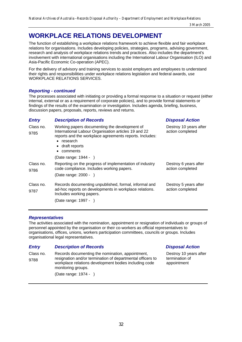The function of establishing a workplace relations framework to achieve flexible and fair workplace relations for organisations. Includes developing policies, strategies, programs, advising government, research and analysis of workplace relations trends and practices. Also includes the department's involvement with international organisations including the International Labour Organisation (ILO) and Asia-Pacific Economic Co-operation (APEC).

For the delivery of advisory and training services to assist employers and employees to understand their rights and responsibilities under workplace relations legislation and federal awards, use WORKPLACE RELATIONS SERVICES.

### *Reporting - continued*

The processes associated with initiating or providing a formal response to a situation or request (either internal, external or as a requirement of corporate policies), and to provide formal statements or findings of the results of the examination or investigation. Includes agenda, briefing, business, discussion papers, proposals, reports, reviews and returns.

### *Entry Description of Records Disposal Action*

| Class no.<br>9785 | Working papers documenting the development of<br>International Labour Organisation articles 19 and 22<br>reports and the workplace agreements reports. Includes:<br>$\bullet$ research<br>• draft reports<br>• comments | Destroy 10 years after<br>action completed |
|-------------------|-------------------------------------------------------------------------------------------------------------------------------------------------------------------------------------------------------------------------|--------------------------------------------|
|                   | (Date range: 1944 - )                                                                                                                                                                                                   |                                            |
| Class no.<br>9786 | Reporting on the progress of implementation of industry<br>code compliance. Includes working papers.                                                                                                                    | Destroy 6 years after<br>action completed  |
|                   | (Date range: $2000 - 1$ )                                                                                                                                                                                               |                                            |
| Class no.<br>9787 | Records documenting unpublished, formal, informal and<br>ad-hoc reports on developments in workplace relations.<br>Includes working papers.<br>(Date range: 1997 - )                                                    | Destroy 5 years after<br>action completed  |

### *Representatives*

The activities associated with the nomination, appointment or resignation of individuals or groups of personnel appointed by the organisation or their co-workers as official representatives to organisations, offices, unions, workers participation committees, councils or groups. Includes organisational legal representatives.

### *Entry Description of Records Disposal Action*

Class no. 9788 Records documenting the nomination, appointment, resignation and/or termination of departmental officers to workplace relations development bodies including code monitoring groups.

Destroy 10 years after termination of appointment

(Date range: 1974 - )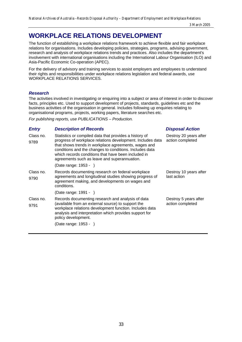*3 March 2005* 

## **WORKPLACE RELATIONS DEVELOPMENT**

The function of establishing a workplace relations framework to achieve flexible and fair workplace relations for organisations. Includes developing policies, strategies, programs, advising government, research and analysis of workplace relations trends and practices. Also includes the department's involvement with international organisations including the International Labour Organisation (ILO) and Asia-Pacific Economic Co-operation (APEC).

For the delivery of advisory and training services to assist employers and employees to understand their rights and responsibilities under workplace relations legislation and federal awards, use WORKPLACE RELATIONS SERVICES.

### *Research*

The activities involved in investigating or enquiring into a subject or area of interest in order to discover facts, principles etc. Used to support development of projects, standards, guidelines etc and the business activities of the organisation in general. Includes following up enquiries relating to organisational programs, projects, working papers, literature searches etc.

*For publishing reports, use PUBLICATIONS – Production.* 

### *Entry Description of Records Disposal Action*

| Class no.<br>9789 | Statistics or compiled data that provides a history of<br>progress of workplace relations development. Includes data<br>that shows trends in workplace agreements, wages and<br>conditions and the changes to conditions. Includes data<br>which records conditions that have been included in<br>agreements such as leave and superannuation. | Destroy 20 years after<br>action completed |
|-------------------|------------------------------------------------------------------------------------------------------------------------------------------------------------------------------------------------------------------------------------------------------------------------------------------------------------------------------------------------|--------------------------------------------|
|                   | (Date range: 1953 - )                                                                                                                                                                                                                                                                                                                          |                                            |
| Class no.<br>9790 | Records documenting research on federal workplace<br>agreements and longitudinal studies showing progress of<br>agreement making, and developments on wages and<br>conditions.                                                                                                                                                                 | Destroy 10 years after<br>last action      |
|                   | (Date range: 1991 - )                                                                                                                                                                                                                                                                                                                          |                                            |
| Class no.<br>9791 | Records documenting research and analysis of data<br>(available from an external source) to support the<br>workplace relations development function. Includes data<br>analysis and interpretation which provides support for<br>policy development.                                                                                            | Destroy 5 years after<br>action completed  |
|                   | (Date range: 1953 - )                                                                                                                                                                                                                                                                                                                          |                                            |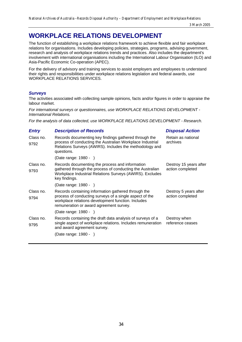The function of establishing a workplace relations framework to achieve flexible and fair workplace relations for organisations. Includes developing policies, strategies, programs, advising government, research and analysis of workplace relations trends and practices. Also includes the department's involvement with international organisations including the International Labour Organisation (ILO) and Asia-Pacific Economic Co-operation (APEC).

For the delivery of advisory and training services to assist employers and employees to understand their rights and responsibilities under workplace relations legislation and federal awards, use WORKPLACE RELATIONS SERVICES.

### *Surveys*

The activities associated with collecting sample opinions, facts and/or figures in order to appraise the labour market.

*For international surveys or questionnaires, use WORKPLACE RELATIONS DEVELOPMENT - International Relations.* 

*For the analysis of data collected, use WORKPLACE RELATIONS DEVELOPMENT - Research.* 

### *Entry Description of Records Disposal Action* Class no. 9792 Records documenting key findings gathered through the process of conducting the Australian Workplace Industrial Relations Surveys (AWIRS). Includes the methodology and questions. (Date range: 1980 - ) Retain as national archives Class no. 9793 Records documenting the process and information gathered through the process of conducting the Australian Workplace Industrial Relations Surveys (AWIRS). Excludes key findings. (Date range: 1980 - ) Destroy 15 years after action completed Class no. 9794 Records containing information gathered through the process of conducting surveys of a single aspect of the workplace relations development function. Includes remuneration or award agreement survey. (Date range: 1980 - ) Destroy 5 years after action completed Class no. 9795 Records containing the draft data analysis of surveys of a single aspect of workplace relations. Includes remuneration and award agreement survey. (Date range: 1980 - ) Destroy when reference ceases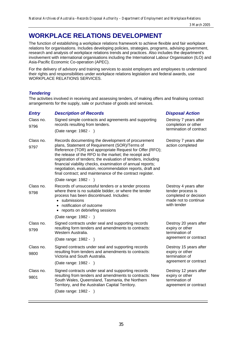The function of establishing a workplace relations framework to achieve flexible and fair workplace relations for organisations. Includes developing policies, strategies, programs, advising government, research and analysis of workplace relations trends and practices. Also includes the department's involvement with international organisations including the International Labour Organisation (ILO) and Asia-Pacific Economic Co-operation (APEC).

For the delivery of advisory and training services to assist employers and employees to understand their rights and responsibilities under workplace relations legislation and federal awards, use WORKPLACE RELATIONS SERVICES.

### *Tendering*

The activities involved in receiving and assessing tenders, of making offers and finalising contract arrangements for the supply, sale or purchase of goods and services.

| <b>Entry</b>      | <b>Description of Records</b>                                                                                                                                                                                                                                                                                                                                                                                                                                                       | <b>Disposal Action</b>                                                               |
|-------------------|-------------------------------------------------------------------------------------------------------------------------------------------------------------------------------------------------------------------------------------------------------------------------------------------------------------------------------------------------------------------------------------------------------------------------------------------------------------------------------------|--------------------------------------------------------------------------------------|
| Class no.<br>9796 | Signed simple contracts and agreements and supporting<br>records resulting from tenders.                                                                                                                                                                                                                                                                                                                                                                                            | Destroy 7 years after<br>completion or other<br>termination of contract              |
|                   | (Date range: 1982 - )                                                                                                                                                                                                                                                                                                                                                                                                                                                               |                                                                                      |
| Class no.<br>9797 | Records documenting the development of procurement<br>plans, Statement of Requirement (SOR)/Terms of<br>Reference (TOR) and appropriate Request for Offer (RFO);<br>the release of the RFO to the market; the receipt and<br>registration of tenders; the evaluation of tenders, including<br>financial viability checks, examination of annual reports;<br>negotiation, evaluation, recommendation reports, draft and<br>final contract; and maintenance of the contract register. | Destroy 7 years after<br>action completed                                            |
|                   | (Date range: 1982 - )                                                                                                                                                                                                                                                                                                                                                                                                                                                               |                                                                                      |
| Class no.         | Records of unsuccessful tenders or a tender process                                                                                                                                                                                                                                                                                                                                                                                                                                 | Destroy 4 years after                                                                |
| 9798              | where there is no suitable bidder, or where the tender<br>process has been discontinued. Includes:<br>submissions<br>$\bullet$<br>notification of outcome<br>reports on debriefing sessions                                                                                                                                                                                                                                                                                         | tender process is<br>completed or decision<br>made not to continue<br>with tender    |
|                   | (Date range: 1982 - )                                                                                                                                                                                                                                                                                                                                                                                                                                                               |                                                                                      |
| Class no.<br>9799 | Signed contracts under seal and supporting records<br>resulting form tenders and amendments to contracts:<br>Western Australia.                                                                                                                                                                                                                                                                                                                                                     | Destroy 20 years after<br>expiry or other<br>termination of                          |
|                   | (Date range: 1982 - )                                                                                                                                                                                                                                                                                                                                                                                                                                                               | agreement or contract                                                                |
| Class no.<br>9800 | Signed contracts under seal and supporting records<br>resulting from tenders and amendments to contracts:<br>Victoria and South Australia.                                                                                                                                                                                                                                                                                                                                          | Destroy 15 years after<br>expiry or other<br>termination of                          |
|                   | (Date range: 1982 - )                                                                                                                                                                                                                                                                                                                                                                                                                                                               | agreement or contract                                                                |
| Class no.<br>9801 | Signed contracts under seal and supporting records<br>resulting from tenders and amendments to contracts: New<br>South Wales, Queensland, Tasmania, the Northern<br>Territory, and the Australian Capital Territory.                                                                                                                                                                                                                                                                | Destroy 12 years after<br>expiry or other<br>termination of<br>agreement or contract |
|                   | (Date range: 1982 - )                                                                                                                                                                                                                                                                                                                                                                                                                                                               |                                                                                      |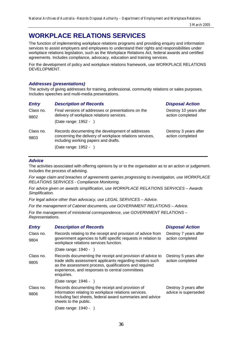The function of implementing workplace relations programs and providing enquiry and information services to assist employers and employees to understand their rights and responsibilities under workplace relations legislation, such as the Workplace Relations Act, federal awards and certified agreements. Includes compliance, advocacy, education and training services.

For the development of policy and workplace relations framework, use WORKPLACE RELATIONS DEVELOPMENT.

### *Addresses (presentations)*

The activity of giving addresses for training, professional, community relations or sales purposes. Includes speeches and multi-media presentations.

| <b>Entry</b>      | <b>Description of Records</b>                                                                                                                        | <b>Disposal Action</b>                     |
|-------------------|------------------------------------------------------------------------------------------------------------------------------------------------------|--------------------------------------------|
| Class no.<br>9802 | Final versions of addresses or presentations on the<br>delivery of workplace relations services.<br>(Date range: 1952 - )                            | Destroy 10 years after<br>action completed |
| Class no.<br>9803 | Records documenting the development of addresses<br>concerning the delivery of workplace relations services,<br>including working papers and drafts. | Destroy 3 years after<br>action completed  |
|                   | (Date range: 1952 - )                                                                                                                                |                                            |

### *Advice*

The activities associated with offering opinions by or to the organisation as to an action or judgement. Includes the process of advising.

*For wage claim and breaches of agreements queries progressing to investigation, use WORKPLACE RELATIONS SERVICES - Compliance Monitoring.*

*For advice given on awards simplification, use WORKPLACE RELATIONS SERVICES – Awards Simplification.* 

*For legal advice other than advocacy, use LEGAL SERVICES – Advice.* 

*For the management of Cabinet documents, use GOVERNMENT RELATIONS – Advice.* 

*For the management of ministerial correspondence, use GOVERNMENT RELATIONS – Representations.* 

### *Entry Description of Records Disposal Action*

| Class no.<br>9804 | Records relating to the receipt and provision of advice from<br>government agencies to fulfil specific requests in relation to<br>workplace relations services function.                                                                           | Destroy 7 years after<br>action completed     |
|-------------------|----------------------------------------------------------------------------------------------------------------------------------------------------------------------------------------------------------------------------------------------------|-----------------------------------------------|
|                   | (Date range: 1940 - )                                                                                                                                                                                                                              |                                               |
| Class no.<br>9805 | Records documenting the receipt and provision of advice to<br>trade skills assessment applicants regarding matters such<br>as the assessment process, qualifications and required<br>experience, and responses to central committees<br>enquiries. | Destroy 5 years after<br>action completed     |
|                   | (Date range: 1946 - )                                                                                                                                                                                                                              |                                               |
| Class no.<br>9806 | Records documenting the receipt and provision of<br>information relating to workplace relations services.<br>Including fact sheets, federal award summaries and advice<br>sheets to the public.                                                    | Destroy 3 years after<br>advice is superseded |
|                   | (Date range: 1940 - )                                                                                                                                                                                                                              |                                               |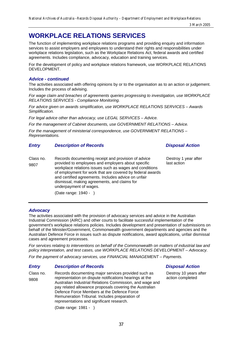The function of implementing workplace relations programs and providing enquiry and information services to assist employers and employees to understand their rights and responsibilities under workplace relations legislation, such as the Workplace Relations Act, federal awards and certified agreements. Includes compliance, advocacy, education and training services.

For the development of policy and workplace relations framework, use WORKPLACE RELATIONS DEVELOPMENT.

### *Advice - continued*

The activities associated with offering opinions by or to the organisation as to an action or judgement. Includes the process of advising.

*For wage claim and breaches of agreements queries progressing to investigation, use WORKPLACE RELATIONS SERVICES - Compliance Monitoring.*

*For advice given on awards simplification, use WORKPLACE RELATIONS SERVICES – Awards Simplification.* 

*For legal advice other than advocacy, use LEGAL SERVICES – Advice.* 

*For the management of Cabinet documents, use GOVERNMENT RELATIONS – Advice.* 

*For the management of ministerial correspondence, use GOVERNMENT RELATIONS – Representations.* 

### *Entry Description of Records Disposal Action*

Class no. 9807 Records documenting receipt and provision of advice provided to employees and employers about specific workplace relations issues such as wages and conditions of employment for work that are covered by federal awards and certified agreements. Includes advice on unfair dismissal, making agreements, and claims for underpayment of wages. (Date range: 1940 - )

Destroy 1 year after last action

### *Advocacy*

The activities associated with the provision of advocacy services and advice in the Australian Industrial Commission (AIRC) and other courts to facilitate successful implementation of the government's workplace relations policies. Includes development and presentation of submissions on behalf of the Minister/Government, Commonwealth government departments and agencies and the Australian Defence Force in issues such as dispute notifications, award applications, unfair dismissal cases and agreement processes.

*For services relating to interventions on behalf of the Commonwealth on matters of industrial law and policy interpretation, and test cases, use WORKPLACE RELATIONS DEVELOPMENT – Advocacy.* 

*For the payment of advocacy services, use FINANCIAL MANAGEMENT – Payments.* 

### *Entry Description of Records Disposal Action*

Class no. 9808 Records documenting major services provided such as representation on dispute notifications hearings at the Australian Industrial Relations Commission, and wage and pay related allowance proposals covering the Australian Defence Force Members at the Defence Force Remuneration Tribunal. Includes preparation of representations and significant research.

(Date range: 1981 - )

Destroy 10 years after action completed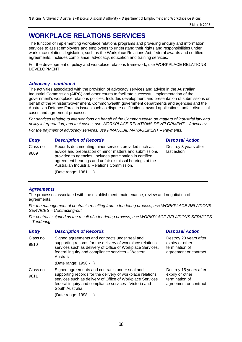The function of implementing workplace relations programs and providing enquiry and information services to assist employers and employees to understand their rights and responsibilities under workplace relations legislation, such as the Workplace Relations Act, federal awards and certified agreements. Includes compliance, advocacy, education and training services.

For the development of policy and workplace relations framework, use WORKPLACE RELATIONS DEVELOPMENT.

### *Advocacy - continued*

The activities associated with the provision of advocacy services and advice in the Australian Industrial Commission (AIRC) and other courts to facilitate successful implementation of the government's workplace relations policies. Includes development and presentation of submissions on behalf of the Minister/Government, Commonwealth government departments and agencies and the Australian Defence Force in issues such as dispute notifications, award applications, unfair dismissal cases and agreement processes.

*For services relating to interventions on behalf of the Commonwealth on matters of industrial law and policy interpretation, and test cases, use WORKPLACE RELATIONS DEVELOPMENT – Advocacy.* 

*For the payment of advocacy services, use FINANCIAL MANAGEMENT – Payments.* 

### *Entry Description of Records Disposal Action*

Class no. 9809 Records documenting minor services provided such as advice and preparation of minor matters and submissions provided to agencies. Includes participation in certified agreement hearings and unfair dismissal hearings at the Australian Industrial Relations Commission.

(Date range: 1981 - )

Destroy 3 years after last action

### *Agreements*

The processes associated with the establishment, maintenance, review and negotiation of agreements.

*For the management of contracts resulting from a tendering process, use WORKPLACE RELATIONS SERVICES – Contracting-out.*

*For contracts signed as the result of a tendering process, use WORKPLACE RELATIONS SERVICES – Tendering.* 

### *Entry Description of Records Disposal Action*

Class no. 9810 Signed agreements and contracts under seal and supporting records for the delivery of workplace relations services such as delivery of Office of Workplace Services, federal inquiry and compliance services – Western Australia.

(Date range: 1998 - )

Class no. 9811 Signed agreements and contracts under seal and supporting records for the delivery of workplace relations services such as delivery of Office of Workplace Services federal inquiry and compliance services - Victoria and South Australia.

(Date range: 1998 - )

Destroy 20 years after expiry or other termination of agreement or contract

Destroy 15 years after expiry or other termination of agreement or contract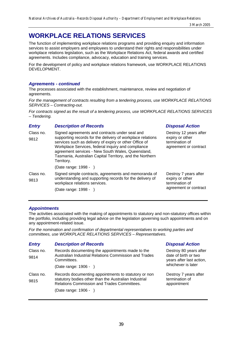The function of implementing workplace relations programs and providing enquiry and information services to assist employers and employees to understand their rights and responsibilities under workplace relations legislation, such as the Workplace Relations Act, federal awards and certified agreements. Includes compliance, advocacy, education and training services.

For the development of policy and workplace relations framework, use WORKPLACE RELATIONS DEVELOPMENT.

### *Agreements - continued*

The processes associated with the establishment, maintenance, review and negotiation of agreements.

*For the management of contracts resulting from a tendering process, use WORKPLACE RELATIONS SERVICES – Contracting-out.*

*For contracts signed as the result of a tendering process, use WORKPLACE RELATIONS SERVICES – Tendering.* 

### *Entry Description of Records Disposal Action*

| Class no. | Signed agreements and contracts under seal and                                                                                                                                                                                                                                                            | Destroy 12 years after                                     |
|-----------|-----------------------------------------------------------------------------------------------------------------------------------------------------------------------------------------------------------------------------------------------------------------------------------------------------------|------------------------------------------------------------|
| 9812      | supporting records for the delivery of workplace relations<br>services such as delivery of expiry or other Office of<br>Workplace Services, federal inquiry and compliance<br>agreement services - New South Wales, Queensland,<br>Tasmania, Australian Capital Territory, and the Northern<br>Territory. | expiry or other<br>termination of<br>agreement or contract |
|           | (Date range: 1998 - )                                                                                                                                                                                                                                                                                     |                                                            |
| Class no. | Signed simple contracts, agreements and memoranda of                                                                                                                                                                                                                                                      | Destroy 7 years after                                      |
| 9813      | understanding and supporting records for the delivery of<br>workplace relations services.                                                                                                                                                                                                                 | expiry or other<br>termination of                          |
|           | (Date range: 1998 - )                                                                                                                                                                                                                                                                                     | agreement or contract                                      |
|           |                                                                                                                                                                                                                                                                                                           |                                                            |

### *Appointments*

The activities associated with the making of appointments to statutory and non-statutory offices within the portfolio, including providing legal advice on the legislation governing such appointments and on any appointment-related issue.

*For the nomination and confirmation of departmental representatives to working parties and committees, use WORKPLACE RELATIONS SERVICES – Representatives.*

| <b>Entry</b>      | <b>Description of Records</b>                                                                                                                                                                | <b>Disposal Action</b>                                                                   |
|-------------------|----------------------------------------------------------------------------------------------------------------------------------------------------------------------------------------------|------------------------------------------------------------------------------------------|
| Class no.<br>9814 | Records documenting the appointments made to the<br>Australian Industrial Relations Commission and Trades<br>Committees.                                                                     | Destroy 80 years a<br>date of birth or two<br>years after last act<br>whichever is later |
|                   | (Date range: 1906 - )                                                                                                                                                                        |                                                                                          |
| Class no.<br>9815 | Records documenting appointments to statutory or non<br>statutory bodies other than the Australian Industrial<br><b>Relations Commission and Trades Committees.</b><br>(Date range: 1906 - ) | Destroy 7 years af<br>termination of<br>appointment                                      |

80 years after birth or two ter last action, er is later

7 years after ion of nent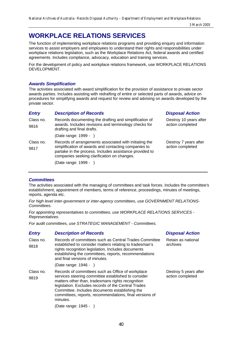The function of implementing workplace relations programs and providing enquiry and information services to assist employers and employees to understand their rights and responsibilities under workplace relations legislation, such as the Workplace Relations Act, federal awards and certified agreements. Includes compliance, advocacy, education and training services.

For the development of policy and workplace relations framework, use WORKPLACE RELATIONS DEVELOPMENT.

### *Awards Simplification*

The activities associated with award simplification for the provision of assistance to private sector awards parties. Includes assisting with redrafting of entire or selected parts of awards, advice on procedures for simplifying awards and request for review and advising on awards developed by the private sector.

### *Entry Description of Records Disposal Action*

| Class no.<br>9816 | Records documenting the drafting and simplification of<br>awards. Includes revisions and terminology checks for<br>drafting and final drafts.                                                                            | Destroy 10 years after<br>action completed |
|-------------------|--------------------------------------------------------------------------------------------------------------------------------------------------------------------------------------------------------------------------|--------------------------------------------|
|                   | (Date range: 1999 - )                                                                                                                                                                                                    |                                            |
| Class no.<br>9817 | Records of arrangements associated with initiating the<br>simplification of awards and contacting companies to<br>partake in the process. Includes assistance provided to<br>companies seeking clarification on changes. | Destroy 7 years after<br>action completed  |
|                   | (Date range: 1999 - )                                                                                                                                                                                                    |                                            |

### *Committees*

The activities associated with the managing of committees and task forces. Includes the committee's establishment, appointment of members, terms of reference, proceedings, minutes of meetings, reports, agenda etc.

*For high level inter-government or inter-agency committees, use GOVERNMENT RELATIONS-Committees.* 

*For appointing representatives to committees, use WORKPLACE RELATIONS SERVICES - Representatives.* 

*For audit committees, use STRATEGIC MANAGEMENT - Committees.*

### *Entry Description of Records Disposal Action*

| Class no.<br>9818 | Records of committees such as Central Trades Committee<br>established to consider matters relating to tradesman's<br>rights recognition legislation. Includes documents<br>establishing the committees, reports, recommendations<br>and final versions of minutes.                                                                                                     | Retain as national<br>archives            |
|-------------------|------------------------------------------------------------------------------------------------------------------------------------------------------------------------------------------------------------------------------------------------------------------------------------------------------------------------------------------------------------------------|-------------------------------------------|
|                   | (Date range: $1946 - 1$ )                                                                                                                                                                                                                                                                                                                                              |                                           |
| Class no.<br>9819 | Records of committees such as Office of workplace<br>services steering committee established to consider<br>matters other than, tradesmans rights recognition<br>legislation. Excludes records of the Central Trades<br>Committee. Includes documents establishing the<br>committees, reports, recommendations, final versions of<br>minutes.<br>(Date range: 1945 - ) | Destroy 5 years after<br>action completed |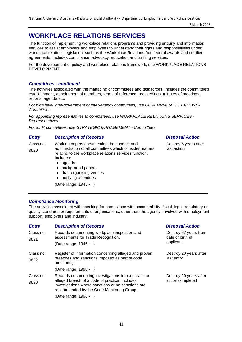The function of implementing workplace relations programs and providing enquiry and information services to assist employers and employees to understand their rights and responsibilities under workplace relations legislation, such as the Workplace Relations Act, federal awards and certified agreements. Includes compliance, advocacy, education and training services.

For the development of policy and workplace relations framework, use WORKPLACE RELATIONS DEVELOPMENT.

### *Committees - continued*

The activities associated with the managing of committees and task forces. Includes the committee's establishment, appointment of members, terms of reference, proceedings, minutes of meetings, reports, agenda etc.

*For high level inter-government or inter-agency committees, use GOVERNMENT RELATIONS-Committees.* 

*For appointing representatives to committees, use WORKPLACE RELATIONS SERVICES - Representatives.* 

*For audit committees, use STRATEGIC MANAGEMENT - Committees.*

### *Entry Description of Records Disposal Action*

Class no. 9820

Working papers documenting the conduct and administration of all committees which consider matters relating to the workplace relations services function. Includes:

- agenda
- background papers
- draft organising venues
- notifying attendees

(Date range: 1945 - )

Destroy 5 years after last action

### *Compliance Monitoring*

The activities associated with checking for compliance with accountability, fiscal, legal, regulatory or quality standards or requirements of organisations, other than the agency, involved with employment support, employers and industry.

### *Entry Description of Records Disposal Action* Class no. 9821 Records documenting workplace inspection and assessments for Trade Recognition. (Date range: 1946 - ) Destroy 67 years from date of birth of applicant Class no. 9822 Register of information concerning alleged and proven breaches and sanctions imposed as part of code monitoring. (Date range: 1998 - ) Destroy 20 years after last entry Class no. 9823 Records documenting investigations into a breach or alleged breach of a code of practice. Includes investigations where sanctions or no sanctions are recommended by the Code Monitoring Group. (Date range: 1998 - ) Destroy 20 years after action completed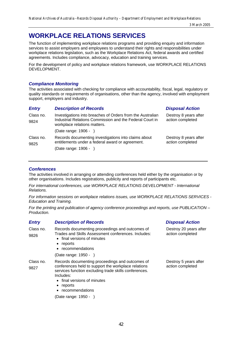The function of implementing workplace relations programs and providing enquiry and information services to assist employers and employees to understand their rights and responsibilities under workplace relations legislation, such as the Workplace Relations Act, federal awards and certified agreements. Includes compliance, advocacy, education and training services.

For the development of policy and workplace relations framework, use WORKPLACE RELATIONS DEVELOPMENT.

### *Compliance Monitoring*

The activities associated with checking for compliance with accountability, fiscal, legal, regulatory or quality standards or requirements of organisations, other than the agency, involved with employment support, employers and industry.

| <b>Entry</b>      | <b>Description of Records</b>                                                                                                                          | <b>Disposal Action</b>                    |
|-------------------|--------------------------------------------------------------------------------------------------------------------------------------------------------|-------------------------------------------|
| Class no.<br>9824 | Investigations into breaches of Orders from the Australian<br>Industrial Relations Commission and the Federal Court in<br>workplace relations matters. | Destroy 8 years after<br>action completed |
|                   | (Date range: 1906 - )                                                                                                                                  |                                           |
| Class no.<br>9825 | Records documenting investigations into claims about<br>entitlements under a federal award or agreement.<br>(Date range: 1906 - )                      | Destroy 8 years after<br>action completed |

### *Conferences*

The activities involved in arranging or attending conferences held either by the organisation or by other organisations. Includes registrations, publicity and reports of participants etc.

*For international conferences, use WORKPLACE RELATIONS DEVELOPMENT - International Relations.* 

*For information sessions on workplace relations issues, use WORKPLACE RELATIONS SERVICES - Education and Training.* 

*For the printing and publication of agency conference proceedings and reports, use PUBLICATION – Production.* 

| <b>Entry</b>      | <b>Description of Records</b>                                                                                                                                                                                                                         | <b>Disposal Action</b>                     |
|-------------------|-------------------------------------------------------------------------------------------------------------------------------------------------------------------------------------------------------------------------------------------------------|--------------------------------------------|
| Class no.<br>9826 | Records documenting proceedings and outcomes of<br>Trades and Skills Assessment conferences. Includes:<br>• final versions of minutes<br>$\bullet$ reports<br>recommendations                                                                         | Destroy 20 years after<br>action completed |
|                   | (Date range: $1950 - 1$ )                                                                                                                                                                                                                             |                                            |
| Class no.<br>9827 | Records documenting proceedings and outcomes of<br>conferences held to support the workplace relations<br>services function excluding trade skills conferences.<br>Includes:<br>• final versions of minutes<br>$\bullet$ reports<br>• recommendations | Destroy 5 years after<br>action completed  |
|                   | (Date range: 1950 - )                                                                                                                                                                                                                                 |                                            |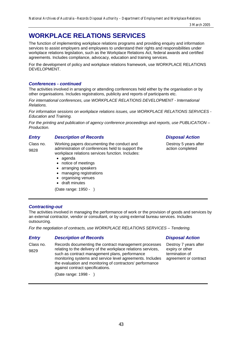The function of implementing workplace relations programs and providing enquiry and information services to assist employers and employees to understand their rights and responsibilities under workplace relations legislation, such as the Workplace Relations Act, federal awards and certified agreements. Includes compliance, advocacy, education and training services.

For the development of policy and workplace relations framework, use WORKPLACE RELATIONS DEVELOPMENT.

### *Conferences - continued*

The activities involved in arranging or attending conferences held either by the organisation or by other organisations. Includes registrations, publicity and reports of participants etc.

*For international conferences, use WORKPLACE RELATIONS DEVELOPMENT - International Relations.* 

*For information sessions on workplace relations issues, use WORKPLACE RELATIONS SERVICES - Education and Training.* 

*For the printing and publication of agency conference proceedings and reports, use PUBLICATION – Production.* 

### *Entry Description of Records Disposal Action*

Class no. 9828 Working papers documenting the conduct and administration of conferences held to support the workplace relations services function. Includes:

- agenda
- notice of meetings
- arranging speakers
- managing registrations
- organising venues
- draft minutes

(Date range: 1950 - )

Destroy 5 years after action completed

### *Contracting-out*

The activities involved in managing the performance of work or the provision of goods and services by an external contractor, vendor or consultant, or by using external bureau services. Includes outsourcing.

*For the negotiation of contracts, use WORKPLACE RELATIONS SERVICES – Tendering.* 

### *Entry Description of Records Disposal Action*

Class no. 9829 Records documenting the contract management processes relating to the delivery of the workplace relations services, such as contract management plans, performance monitoring systems and service level agreements. Includes the evaluation and monitoring of contractors' performance against contract specifications.

Destroy 7 years after expiry or other termination of agreement or contract

(Date range: 1998 - )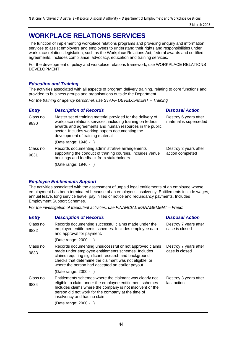The function of implementing workplace relations programs and providing enquiry and information services to assist employers and employees to understand their rights and responsibilities under workplace relations legislation, such as the Workplace Relations Act, federal awards and certified agreements. Includes compliance, advocacy, education and training services.

For the development of policy and workplace relations framework, use WORKPLACE RELATIONS DEVELOPMENT.

### *Education and Training*

The activities associated with all aspects of program delivery training, relating to core functions and provided to business groups and organisations outside the Department.

*For the training of agency personnel, use STAFF DEVELOPMENT – Training.* 

| <b>Entry</b>      | <b>Description of Records</b>                                                                                                                                                                                                                                                  | <b>Disposal Action</b>                          |
|-------------------|--------------------------------------------------------------------------------------------------------------------------------------------------------------------------------------------------------------------------------------------------------------------------------|-------------------------------------------------|
| Class no.<br>9830 | Master set of training material provided for the delivery of<br>workplace relations services, including training on federal<br>awards and agreements and human resources in the public<br>sector. Includes working papers documenting the<br>development of training material. | Destroy 6 years after<br>material is superseded |
|                   | (Date range: 1946 - )                                                                                                                                                                                                                                                          |                                                 |
| Class no.         | Records documenting administrative arrangements                                                                                                                                                                                                                                | Destroy 3 years after                           |
| 9831              | supporting the conduct of training courses. Includes venue<br>bookings and feedback from stakeholders.                                                                                                                                                                         | action completed                                |
|                   | (Date range: 1946 -                                                                                                                                                                                                                                                            |                                                 |

### *Employee Entitlements Support*

The activities associated with the assessment of unpaid legal entitlements of an employee whose employment has been terminated because of an employer's insolvency. Entitlements include wages, annual leave, long service leave, pay in lieu of notice and redundancy payments. Includes Employment Support Schemes.

*For the investigation of fraudulent activities, use FINANCIAL MANAGEMENT – Fraud.* 

### *Entry Description of Records Disposal Action*

| Class no.<br>9832 | Records documenting successful claims made under the<br>employee entitlements schemes. Includes employee data<br>and approval for payment.                                                                                                                                                       | Destroy 7 years after<br>case is closed |
|-------------------|--------------------------------------------------------------------------------------------------------------------------------------------------------------------------------------------------------------------------------------------------------------------------------------------------|-----------------------------------------|
|                   | (Date range: 2000 - )                                                                                                                                                                                                                                                                            |                                         |
| Class no.<br>9833 | Records documenting unsuccessful or not approved claims<br>made under employee entitlements schemes. Includes<br>claims requiring significant research and background<br>checks that determine the claimant was not eligible, or<br>where the person had accepted an earlier payout.             | Destroy 7 years after<br>case is closed |
|                   | (Date range: $2000 - 1$ )                                                                                                                                                                                                                                                                        |                                         |
| Class no.<br>9834 | Entitlements schemes where the claimant was clearly not<br>eligible to claim under the employee entitlement schemes.<br>Includes claims where the company is not insolvent or the<br>person did not work for the company at the time of<br>insolvency and has no claim.<br>(Date range: 2000 - ) | Destroy 3 years after<br>last action    |
|                   |                                                                                                                                                                                                                                                                                                  |                                         |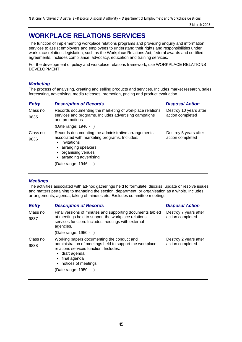The function of implementing workplace relations programs and providing enquiry and information services to assist employers and employees to understand their rights and responsibilities under workplace relations legislation, such as the Workplace Relations Act, federal awards and certified agreements. Includes compliance, advocacy, education and training services.

For the development of policy and workplace relations framework, use WORKPLACE RELATIONS DEVELOPMENT.

### *Marketing*

The process of analysing, creating and selling products and services. Includes market research, sales forecasting, advertising, media releases, promotion, pricing and product evaluation.

| <b>Entry</b>      | <b>Description of Records</b>                                                                                                                                                                   | <b>Disposal Action</b>                     |
|-------------------|-------------------------------------------------------------------------------------------------------------------------------------------------------------------------------------------------|--------------------------------------------|
| Class no.<br>9835 | Records documenting the marketing of workplace relations<br>services and programs. Includes advertising campaigns<br>and promotions.                                                            | Destroy 10 years after<br>action completed |
|                   | (Date range: $1946 - 1$ )                                                                                                                                                                       |                                            |
| Class no.<br>9836 | Records documenting the administrative arrangements<br>associated with marketing programs. Includes:<br>• invitations<br>• arranging speakers<br>• organising venues<br>• arranging advertising | Destroy 5 years after<br>action completed  |
|                   | (Date range: 1946 - )                                                                                                                                                                           |                                            |

### *Meetings*

The activities associated with ad-hoc gatherings held to formulate, discuss, update or resolve issues and matters pertaining to managing the section, department, or organisation as a whole. Includes arrangements, agenda, taking of minutes etc. Excludes committee meetings.

### *Entry Description of Records Disposal Action*

| Class no.<br>9837 | Final versions of minutes and supporting documents tabled<br>at meetings held to support the workplace relations<br>services function. Includes meetings with external<br>agencies. | Destroy 7 years after<br>action completed |
|-------------------|-------------------------------------------------------------------------------------------------------------------------------------------------------------------------------------|-------------------------------------------|
|                   | (Date range: 1950 - )                                                                                                                                                               |                                           |
| Class no.         | Working papers documenting the conduct and                                                                                                                                          | Destroy 2 years after                     |
| 9838              | administration of meetings held to support the workplace<br>relations services function. Includes:<br>• draft agenda<br>• final agenda<br>• notices of meetings                     | action completed                          |

(Date range: 1950 - )

45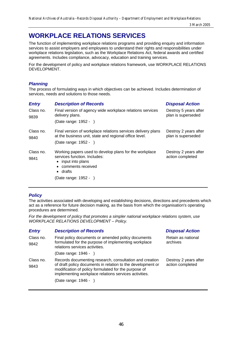The function of implementing workplace relations programs and providing enquiry and information services to assist employers and employees to understand their rights and responsibilities under workplace relations legislation, such as the Workplace Relations Act, federal awards and certified agreements. Includes compliance, advocacy, education and training services.

For the development of policy and workplace relations framework, use WORKPLACE RELATIONS DEVELOPMENT.

### *Planning*

The process of formulating ways in which objectives can be achieved. Includes determination of services, needs and solutions to those needs.

| <b>Entry</b>      | <b>Description of Records</b>                                                                                                                                                            | <b>Disposal Action</b>                      |
|-------------------|------------------------------------------------------------------------------------------------------------------------------------------------------------------------------------------|---------------------------------------------|
| Class no.<br>9839 | Final version of agency wide workplace relations services<br>delivery plans.                                                                                                             | Destroy 5 years after<br>plan is superseded |
|                   | (Date range: $1952 - )$                                                                                                                                                                  |                                             |
| Class no.<br>9840 | Final version of workplace relations services delivery plans<br>at the business unit, state and regional office level.<br>(Date range: 1952 - )                                          | Destroy 2 years after<br>plan is superseded |
| Class no.<br>9841 | Working papers used to develop plans for the workplace<br>services function. Includes:<br>$\bullet$ input into plans<br>• comments received<br>$\bullet$ drafts<br>(Date range: 1952 - ) | Destroy 2 years after<br>action completed   |

### *Policy*

The activities associated with developing and establishing decisions, directions and precedents which act as a reference for future decision making, as the basis from which the organisation's operating procedures are determined.

*For the development of policy that promotes a simpler national workplace relations system, use WORKPLACE RELATIONS DEVELOPMENT – Policy.* 

| <b>Entry</b>      | <b>Description of Records</b>                                                                                                                                                | <b>Disposal Action</b>         |
|-------------------|------------------------------------------------------------------------------------------------------------------------------------------------------------------------------|--------------------------------|
| Class no.<br>9842 | Final policy documents or amended policy documents<br>formulated for the purpose of implementing workplace<br>relations services activities.                                 | Retain as national<br>archives |
|                   | (Date range: 1946 - )                                                                                                                                                        |                                |
| Class no.         | Records documenting research, consultation and creation                                                                                                                      | Destroy 2 years after          |
| 9843              | of draft policy documents in relation to the development or<br>modification of policy formulated for the purpose of<br>implementing workplace relations services activities. | action completed               |
|                   | (Date range: 1946 - )                                                                                                                                                        |                                |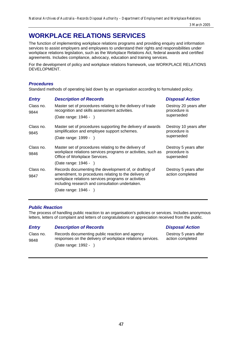The function of implementing workplace relations programs and providing enquiry and information services to assist employers and employees to understand their rights and responsibilities under workplace relations legislation, such as the Workplace Relations Act, federal awards and certified agreements. Includes compliance, advocacy, education and training services.

For the development of policy and workplace relations framework, use WORKPLACE RELATIONS DEVELOPMENT.

### *Procedures*

Standard methods of operating laid down by an organisation according to formulated policy.

| <b>Entry</b>      | <b>Description of Records</b>                                                                                                                                                                                                                     | <b>Disposal Action</b>                               |
|-------------------|---------------------------------------------------------------------------------------------------------------------------------------------------------------------------------------------------------------------------------------------------|------------------------------------------------------|
| Class no.<br>9844 | Master set of procedures relating to the delivery of trade<br>recognition and skills assessment activities.<br>(Date range: 1946 - )                                                                                                              | Destroy 20 years after<br>procedure is<br>superseded |
| Class no.<br>9845 | Master set of procedures supporting the delivery of awards<br>simplification and employee support schemes.<br>(Date range: 1999 - )                                                                                                               | Destroy 10 years after<br>procedure is<br>superseded |
| Class no.<br>9846 | Master set of procedures relating to the delivery of<br>workplace relations services programs or activities, such as<br>Office of Workplace Services.<br>(Date range: 1946 - )                                                                    | Destroy 5 years after<br>procedure is<br>superseded  |
| Class no.<br>9847 | Records documenting the development of, or drafting of<br>amendment, to procedures relating to the delivery of<br>workplace relations services programs or activities<br>including research and consultation undertaken.<br>(Date range: 1946 - ) | Destroy 5 years after<br>action completed            |

### *Public Reaction*

The process of handling public reaction to an organisation's policies or services. Includes anonymous letters, letters of complaint and letters of congratulations or appreciation received from the public.

### *Entry Description of Records Disposal Action*

Class no. 9848 Records documenting public reaction and agency responses on the delivery of workplace relations services. (Date range: 1992 - )

Destroy 5 years after action completed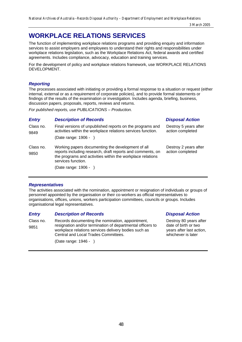The function of implementing workplace relations programs and providing enquiry and information services to assist employers and employees to understand their rights and responsibilities under workplace relations legislation, such as the Workplace Relations Act, federal awards and certified agreements. Includes compliance, advocacy, education and training services.

For the development of policy and workplace relations framework, use WORKPLACE RELATIONS DEVELOPMENT.

### *Reporting*

The processes associated with initiating or providing a formal response to a situation or request (either internal, external or as a requirement of corporate policies), and to provide formal statements or findings of the results of the examination or investigation. Includes agenda, briefing, business, discussion papers, proposals, reports, reviews and returns.

*For published reports, use PUBLICATIONS – Production.* 

### *Entry Description of Records Disposal Action*

### Class no. 9849 Final versions of unpublished reports on the programs and activities within the workplace relations services function. (Date range: 1906 - ) Destroy 5 years after action completed Class no. 9850 Working papers documenting the development of all reports including research, draft reports and comments, on the programs and activities within the workplace relations services function. (Date range: 1906 - ) Destroy 2 years after action completed

### *Representatives*

The activities associated with the nomination, appointment or resignation of individuals or groups of personnel appointed by the organisation or their co-workers as official representatives to organisations, offices, unions, workers participation committees, councils or groups. Includes organisational legal representatives.

### *Entry Description of Records Disposal Action*

Class no. 9851 Records documenting the nomination, appointment, resignation and/or termination of departmental officers to workplace relations services delivery bodies such as Central and Local Trades Committees.

(Date range: 1946 - )

Destroy 80 years after date of birth or two years after last action, whichever is later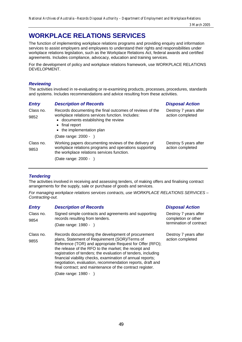The function of implementing workplace relations programs and providing enquiry and information services to assist employers and employees to understand their rights and responsibilities under workplace relations legislation, such as the Workplace Relations Act, federal awards and certified agreements. Includes compliance, advocacy, education and training services.

For the development of policy and workplace relations framework, use WORKPLACE RELATIONS DEVELOPMENT.

### *Reviewing*

The activities involved in re-evaluating or re-examining products, processes, procedures, standards and systems. Includes recommendations and advice resulting from these activities.

### *Entry Description of Records Disposal Action*

Class no. 9852 Records documenting the final outcomes of reviews of the workplace relations services function. Includes: • documents establishing the review • final report

• the implementation plan

(Date range: 2000 - )

Class no. 9853 Working papers documenting reviews of the delivery of workplace relations programs and operations supporting the workplace relations services function.

(Date range: 2000 - )

Destroy 7 years after action completed

Destroy 5 years after action completed

### *Tendering*

The activities involved in receiving and assessing tenders, of making offers and finalising contract arrangements for the supply, sale or purchase of goods and services.

*For managing workplace relations services contracts, use WORKPLACE RELATIONS SERVICES – Contracting-out.* 

| <b>Entry</b>      | <b>Description of Records</b>                                                                                                                                                                                                                                                                                                                                                                                                                                                       | <b>Disposal Action</b>                       |
|-------------------|-------------------------------------------------------------------------------------------------------------------------------------------------------------------------------------------------------------------------------------------------------------------------------------------------------------------------------------------------------------------------------------------------------------------------------------------------------------------------------------|----------------------------------------------|
| Class no.<br>9854 | Signed simple contracts and agreements and supporting<br>records resulting from tenders.                                                                                                                                                                                                                                                                                                                                                                                            | Destroy 7 years after<br>completion or other |
|                   | (Date range: 1980 - )                                                                                                                                                                                                                                                                                                                                                                                                                                                               | termination of contract                      |
| Class no.<br>9855 | Records documenting the development of procurement<br>plans, Statement of Requirement (SOR)/Terms of<br>Reference (TOR) and appropriate Request for Offer (RFO);<br>the release of the RFO to the market; the receipt and<br>registration of tenders; the evaluation of tenders, including<br>financial viability checks, examination of annual reports;<br>negotiation, evaluation, recommendation reports, draft and<br>final contract; and maintenance of the contract register. | Destroy 7 years after<br>action completed    |

(Date range: 1980 - )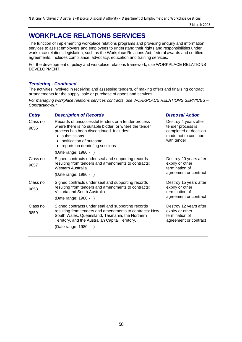The function of implementing workplace relations programs and providing enquiry and information services to assist employers and employees to understand their rights and responsibilities under workplace relations legislation, such as the Workplace Relations Act, federal awards and certified agreements. Includes compliance, advocacy, education and training services.

For the development of policy and workplace relations framework, use WORKPLACE RELATIONS DEVELOPMENT.

### *Tendering - Continued*

The activities involved in receiving and assessing tenders, of making offers and finalising contract arrangements for the supply, sale or purchase of goods and services.

*For managing workplace relations services contracts, use WORKPLACE RELATIONS SERVICES – Contracting-out.* 

### *Entry Description of Records Disposal Action*

| Class no.<br>9856 | Records of unsuccessful tenders or a tender process<br>where there is no suitable bidder, or where the tender<br>process has been discontinued. Includes:<br>• submissions<br>• notification of outcome<br>reports on debriefing sessions | Destroy 4 years after<br>tender process is<br>completed or decision<br>made not to continue<br>with tender |
|-------------------|-------------------------------------------------------------------------------------------------------------------------------------------------------------------------------------------------------------------------------------------|------------------------------------------------------------------------------------------------------------|
|                   | (Date range: 1980 - )                                                                                                                                                                                                                     |                                                                                                            |
| Class no.<br>9857 | Signed contracts under seal and supporting records<br>resulting from tenders and amendments to contracts:<br>Western Australia.                                                                                                           | Destroy 20 years after<br>expiry or other<br>termination of<br>agreement or contract                       |
|                   | (Date range: 1980 - )                                                                                                                                                                                                                     |                                                                                                            |
| Class no.<br>9858 | Signed contracts under seal and supporting records<br>resulting from tenders and amendments to contracts:<br>Victoria and South Australia.                                                                                                | Destroy 15 years after<br>expiry or other<br>termination of<br>agreement or contract                       |
|                   | (Date range: 1980 - )                                                                                                                                                                                                                     |                                                                                                            |
| Class no.<br>9859 | Signed contracts under seal and supporting records<br>resulting from tenders and amendments to contracts: New<br>South Wales, Queensland, Tasmania, the Northern<br>Territory, and the Australian Capital Territory.                      | Destroy 12 years after<br>expiry or other<br>termination of<br>agreement or contract                       |
|                   | (Date range: 1980 - )                                                                                                                                                                                                                     |                                                                                                            |